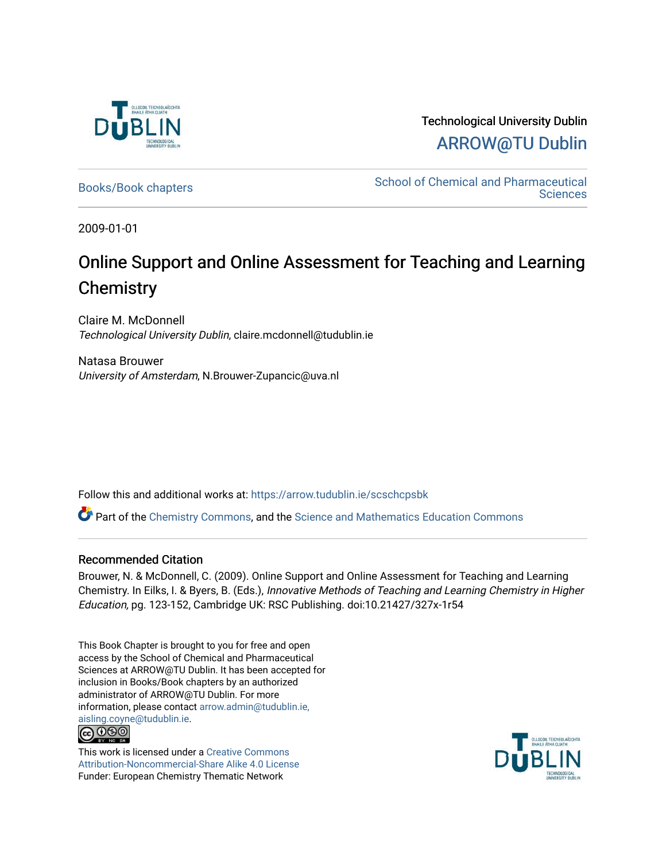

Technological University Dublin [ARROW@TU Dublin](https://arrow.tudublin.ie/) 

[Books/Book chapters](https://arrow.tudublin.ie/scschcpsbk) **School of Chemical and Pharmaceutical**<br>Sciences [Sciences](https://arrow.tudublin.ie/scschcps) 

2009-01-01

# Online Support and Online Assessment for Teaching and Learning **Chemistry**

Claire M. McDonnell Technological University Dublin, claire.mcdonnell@tudublin.ie

Natasa Brouwer University of Amsterdam, N.Brouwer-Zupancic@uva.nl

Follow this and additional works at: [https://arrow.tudublin.ie/scschcpsbk](https://arrow.tudublin.ie/scschcpsbk?utm_source=arrow.tudublin.ie%2Fscschcpsbk%2F2&utm_medium=PDF&utm_campaign=PDFCoverPages) 

Part of the [Chemistry Commons,](http://network.bepress.com/hgg/discipline/131?utm_source=arrow.tudublin.ie%2Fscschcpsbk%2F2&utm_medium=PDF&utm_campaign=PDFCoverPages) and the [Science and Mathematics Education Commons](http://network.bepress.com/hgg/discipline/800?utm_source=arrow.tudublin.ie%2Fscschcpsbk%2F2&utm_medium=PDF&utm_campaign=PDFCoverPages)

### Recommended Citation

Brouwer, N. & McDonnell, C. (2009). Online Support and Online Assessment for Teaching and Learning Chemistry. In Eilks, I. & Byers, B. (Eds.), Innovative Methods of Teaching and Learning Chemistry in Higher Education, pg. 123-152, Cambridge UK: RSC Publishing. doi:10.21427/327x-1r54

This Book Chapter is brought to you for free and open access by the School of Chemical and Pharmaceutical Sciences at ARROW@TU Dublin. It has been accepted for inclusion in Books/Book chapters by an authorized administrator of ARROW@TU Dublin. For more information, please contact [arrow.admin@tudublin.ie,](mailto:arrow.admin@tudublin.ie,%20aisling.coyne@tudublin.ie)  [aisling.coyne@tudublin.ie.](mailto:arrow.admin@tudublin.ie,%20aisling.coyne@tudublin.ie) **@@@** 



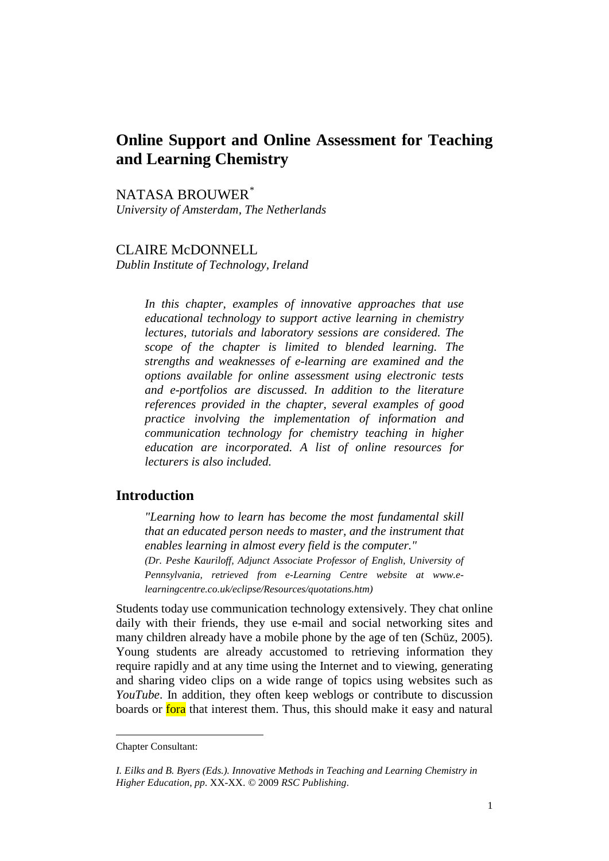# **Online Support and Online Assessment for Teaching and Learning Chemistry**

NATASA BROUWER[\\*](#page-1-0) *University of Amsterdam, The Netherlands*

# CLAIRE McDONNELL

*Dublin Institute of Technology, Ireland* 

*In this chapter, examples of innovative approaches that use educational technology to support active learning in chemistry lectures, tutorials and laboratory sessions are considered. The scope of the chapter is limited to blended learning. The strengths and weaknesses of e-learning are examined and the options available for online assessment using electronic tests and e-portfolios are discussed. In addition to the literature references provided in the chapter, several examples of good practice involving the implementation of information and communication technology for chemistry teaching in higher education are incorporated. A list of online resources for lecturers is also included.*

# **Introduction**

*"Learning how to learn has become the most fundamental skill that an educated person needs to master, and the instrument that enables learning in almost every field is the computer." (Dr. Peshe Kauriloff, Adjunct Associate Professor of English, University of Pennsylvania, retrieved from e-Learning Centre website at [www.e](http://www.e-learningcentre.co.uk/eclipse/Resources/quotations.htm)[learningcentre.co.uk/eclipse/Resources/quotations.htm\)](http://www.e-learningcentre.co.uk/eclipse/Resources/quotations.htm)*

Students today use communication technology extensively. They chat online daily with their friends, they use e-mail and social networking sites and many children already have a mobile phone by the age of ten (Schüz, 2005). Young students are already accustomed to retrieving information they require rapidly and at any time using the Internet and to viewing, generating and sharing video clips on a wide range of topics using websites such as *YouTube*. In addition, they often keep weblogs or contribute to discussion boards or fora that interest them. Thus, this should make it easy and natural

<span id="page-1-0"></span>Chapter Consultant:

*I. Eilks and B. Byers (Eds.). Innovative Methods in Teaching and Learning Chemistry in Higher Education*, *pp*. XX-XX. *©* 2009 *RSC Publishing*.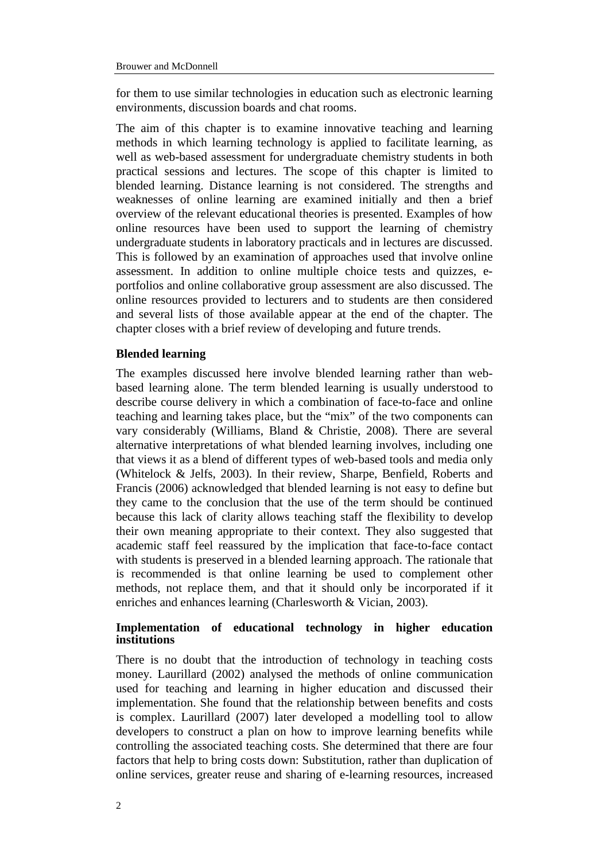for them to use similar technologies in education such as electronic learning environments, discussion boards and chat rooms.

The aim of this chapter is to examine innovative teaching and learning methods in which learning technology is applied to facilitate learning, as well as web-based assessment for undergraduate chemistry students in both practical sessions and lectures. The scope of this chapter is limited to blended learning. Distance learning is not considered. The strengths and weaknesses of online learning are examined initially and then a brief overview of the relevant educational theories is presented. Examples of how online resources have been used to support the learning of chemistry undergraduate students in laboratory practicals and in lectures are discussed. This is followed by an examination of approaches used that involve online assessment. In addition to online multiple choice tests and quizzes, eportfolios and online collaborative group assessment are also discussed. The online resources provided to lecturers and to students are then considered and several lists of those available appear at the end of the chapter. The chapter closes with a brief review of developing and future trends.

### **Blended learning**

The examples discussed here involve blended learning rather than webbased learning alone. The term blended learning is usually understood to describe course delivery in which a combination of face-to-face and online teaching and learning takes place, but the "mix" of the two components can vary considerably (Williams, Bland & Christie, 2008). There are several alternative interpretations of what blended learning involves, including one that views it as a blend of different types of web-based tools and media only (Whitelock & Jelfs, 2003). In their review, Sharpe, Benfield, Roberts and Francis (2006) acknowledged that blended learning is not easy to define but they came to the conclusion that the use of the term should be continued because this lack of clarity allows teaching staff the flexibility to develop their own meaning appropriate to their context. They also suggested that academic staff feel reassured by the implication that face-to-face contact with students is preserved in a blended learning approach. The rationale that is recommended is that online learning be used to complement other methods, not replace them, and that it should only be incorporated if it enriches and enhances learning (Charlesworth & Vician, 2003).

# **Implementation of educational technology in higher education institutions**

There is no doubt that the introduction of technology in teaching costs money. Laurillard (2002) analysed the methods of online communication used for teaching and learning in higher education and discussed their implementation. She found that the relationship between benefits and costs is complex. Laurillard (2007) later developed a modelling tool to allow developers to construct a plan on how to improve learning benefits while controlling the associated teaching costs. She determined that there are four factors that help to bring costs down: Substitution, rather than duplication of online services, greater reuse and sharing of e-learning resources, increased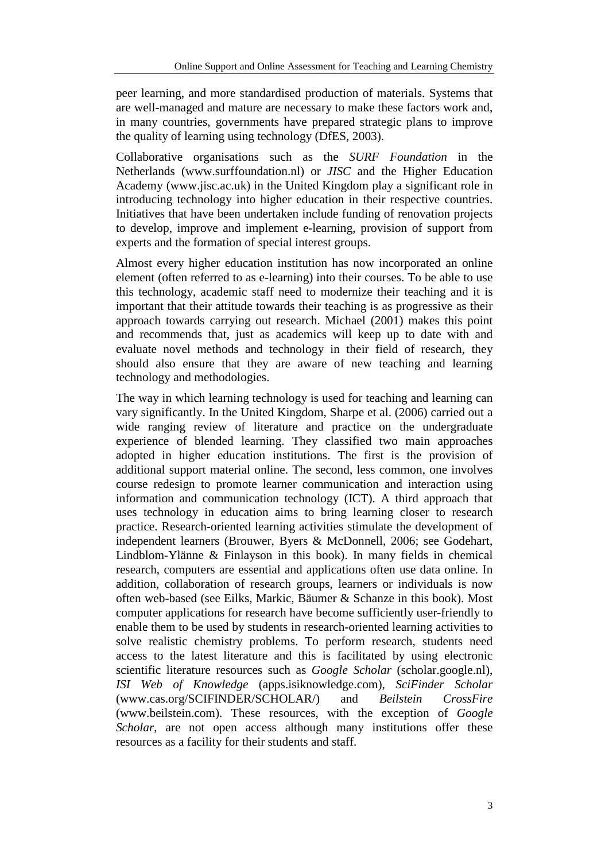peer learning, and more standardised production of materials. Systems that are well-managed and mature are necessary to make these factors work and, in many countries, governments have prepared strategic plans to improve the quality of learning using technology (DfES, 2003).

Collaborative organisations such as the *SURF Foundation* in the Netherlands (www.surffoundation.nl) or *JISC* and the Higher Education Academy (www.jisc.ac.uk) in the United Kingdom play a significant role in introducing technology into higher education in their respective countries. Initiatives that have been undertaken include funding of renovation projects to develop, improve and implement e-learning, provision of support from experts and the formation of special interest groups.

Almost every higher education institution has now incorporated an online element (often referred to as e-learning) into their courses. To be able to use this technology, academic staff need to modernize their teaching and it is important that their attitude towards their teaching is as progressive as their approach towards carrying out research. Michael (2001) makes this point and recommends that, just as academics will keep up to date with and evaluate novel methods and technology in their field of research, they should also ensure that they are aware of new teaching and learning technology and methodologies.

The way in which learning technology is used for teaching and learning can vary significantly. In the United Kingdom, Sharpe et al. (2006) carried out a wide ranging review of literature and practice on the undergraduate experience of blended learning. They classified two main approaches adopted in higher education institutions. The first is the provision of additional support material online. The second, less common, one involves course redesign to promote learner communication and interaction using information and communication technology (ICT). A third approach that uses technology in education aims to bring learning closer to research practice. Research-oriented learning activities stimulate the development of independent learners (Brouwer, Byers & McDonnell, 2006; see Godehart, Lindblom-Ylänne & Finlayson in this book). In many fields in chemical research, computers are essential and applications often use data online. In addition, collaboration of research groups, learners or individuals is now often web-based (see Eilks, Markic, Bäumer & Schanze in this book). Most computer applications for research have become sufficiently user-friendly to enable them to be used by students in research-oriented learning activities to solve realistic chemistry problems. To perform research, students need access to the latest literature and this is facilitated by using electronic scientific literature resources such as *Google Scholar* (scholar.google.nl), *ISI Web of Knowledge* (apps.isiknowledge.com), *SciFinder Scholar* [\(www.cas.org/SCIFINDER/SCHOLAR/\)](http://www.cas.org/SCIFINDER/SCHOLAR/) and *Beilstein CrossFire* (www.beilstein.com). These resources, with the exception of *Google Scholar*, are not open access although many institutions offer these resources as a facility for their students and staff.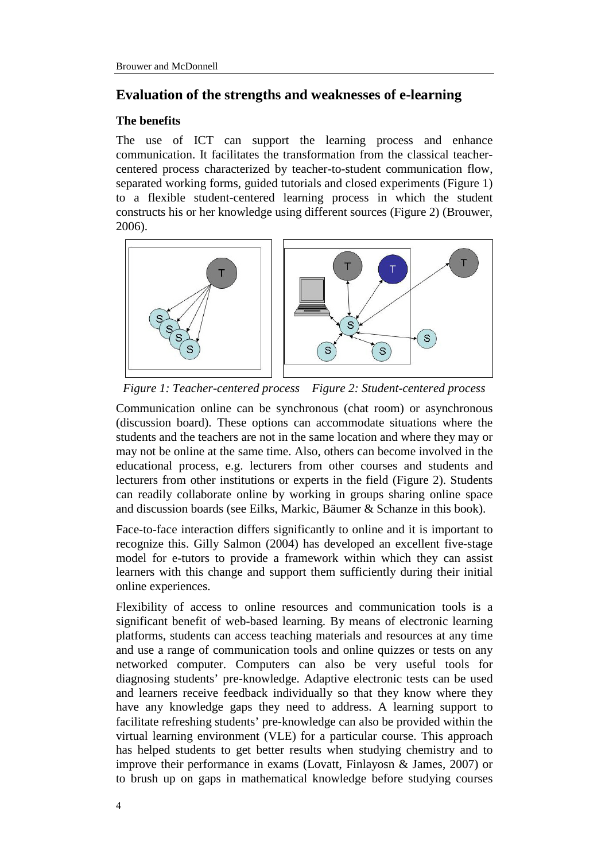# **Evaluation of the strengths and weaknesses of e-learning**

### **The benefits**

The use of ICT can support the learning process and enhance communication. It facilitates the transformation from the classical teachercentered process characterized by teacher-to-student communication flow, separated working forms, guided tutorials and closed experiments (Figure 1) to a flexible student-centered learning process in which the student constructs his or her knowledge using different sources (Figure 2) (Brouwer, 2006).



*Figure 1: Teacher-centered process Figure 2: Student-centered process*

Communication online can be synchronous (chat room) or asynchronous (discussion board). These options can accommodate situations where the students and the teachers are not in the same location and where they may or may not be online at the same time. Also, others can become involved in the educational process, e.g. lecturers from other courses and students and lecturers from other institutions or experts in the field (Figure 2). Students can readily collaborate online by working in groups sharing online space and discussion boards (see Eilks, Markic, Bäumer & Schanze in this book).

Face-to-face interaction differs significantly to online and it is important to recognize this. Gilly Salmon (2004) has developed an excellent five-stage model for e-tutors to provide a framework within which they can assist learners with this change and support them sufficiently during their initial online experiences.

Flexibility of access to online resources and communication tools is a significant benefit of web-based learning. By means of electronic learning platforms, students can access teaching materials and resources at any time and use a range of communication tools and online quizzes or tests on any networked computer. Computers can also be very useful tools for diagnosing students' pre-knowledge. Adaptive electronic tests can be used and learners receive feedback individually so that they know where they have any knowledge gaps they need to address. A learning support to facilitate refreshing students' pre-knowledge can also be provided within the virtual learning environment (VLE) for a particular course. This approach has helped students to get better results when studying chemistry and to improve their performance in exams (Lovatt, Finlayosn & James, 2007) or to brush up on gaps in mathematical knowledge before studying courses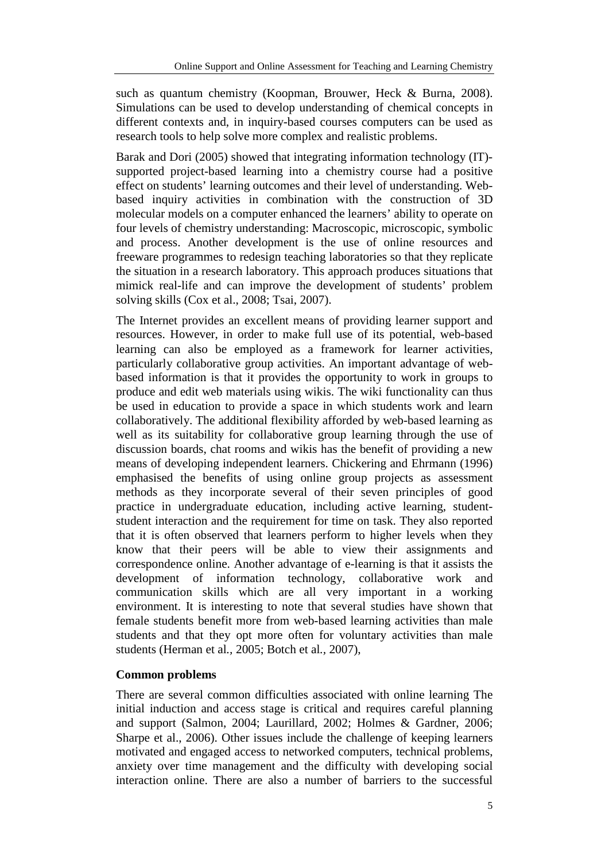such as quantum chemistry (Koopman, Brouwer, Heck & Burna, 2008). Simulations can be used to develop understanding of chemical concepts in different contexts and, in inquiry-based courses computers can be used as research tools to help solve more complex and realistic problems.

Barak and Dori (2005) showed that integrating information technology (IT) supported project-based learning into a chemistry course had a positive effect on students' learning outcomes and their level of understanding. Webbased inquiry activities in combination with the construction of 3D molecular models on a computer enhanced the learners' ability to operate on four levels of chemistry understanding: Macroscopic, microscopic, symbolic and process. Another development is the use of online resources and freeware programmes to redesign teaching laboratories so that they replicate the situation in a research laboratory. This approach produces situations that mimick real-life and can improve the development of students' problem solving skills (Cox et al., 2008; Tsai, 2007).

The Internet provides an excellent means of providing learner support and resources. However, in order to make full use of its potential, web-based learning can also be employed as a framework for learner activities, particularly collaborative group activities. An important advantage of webbased information is that it provides the opportunity to work in groups to produce and edit web materials using wikis. The wiki functionality can thus be used in education to provide a space in which students work and learn collaboratively. The additional flexibility afforded by web-based learning as well as its suitability for collaborative group learning through the use of discussion boards, chat rooms and wikis has the benefit of providing a new means of developing independent learners. Chickering and Ehrmann (1996) emphasised the benefits of using online group projects as assessment methods as they incorporate several of their seven principles of good practice in undergraduate education, including active learning, studentstudent interaction and the requirement for time on task. They also reported that it is often observed that learners perform to higher levels when they know that their peers will be able to view their assignments and correspondence online. Another advantage of e-learning is that it assists the development of information technology, collaborative work and communication skills which are all very important in a working environment. It is interesting to note that several studies have shown that female students benefit more from web-based learning activities than male students and that they opt more often for voluntary activities than male students (Herman et al*.,* 2005; Botch et al*.,* 2007),

# **Common problems**

There are several common difficulties associated with online learning The initial induction and access stage is critical and requires careful planning and support (Salmon, 2004; Laurillard, 2002; Holmes & Gardner, 2006; Sharpe et al., 2006). Other issues include the challenge of keeping learners motivated and engaged access to networked computers, technical problems, anxiety over time management and the difficulty with developing social interaction online. There are also a number of barriers to the successful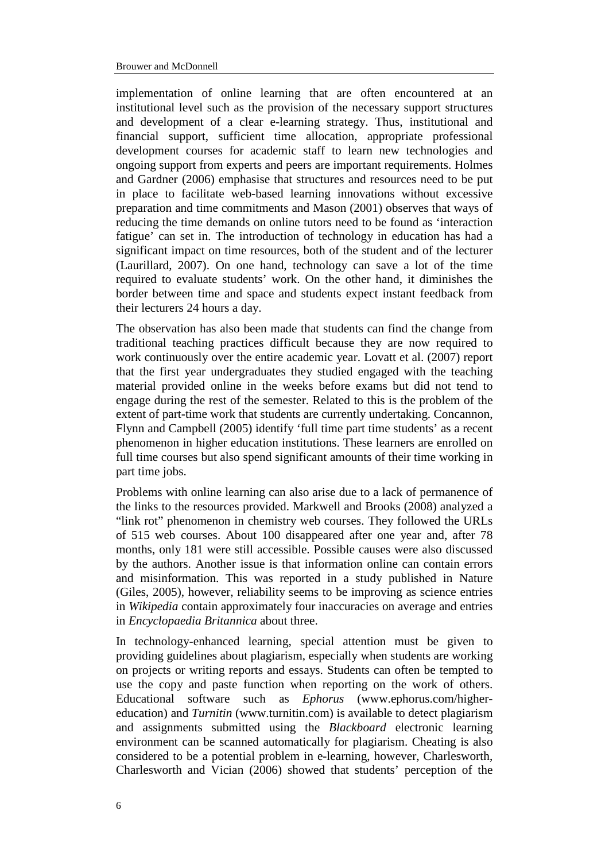implementation of online learning that are often encountered at an institutional level such as the provision of the necessary support structures and development of a clear e-learning strategy. Thus, institutional and financial support, sufficient time allocation, appropriate professional development courses for academic staff to learn new technologies and ongoing support from experts and peers are important requirements. Holmes and Gardner (2006) emphasise that structures and resources need to be put in place to facilitate web-based learning innovations without excessive preparation and time commitments and Mason (2001) observes that ways of reducing the time demands on online tutors need to be found as 'interaction fatigue' can set in. The introduction of technology in education has had a significant impact on time resources, both of the student and of the lecturer (Laurillard, 2007). On one hand, technology can save a lot of the time required to evaluate students' work. On the other hand, it diminishes the border between time and space and students expect instant feedback from their lecturers 24 hours a day.

The observation has also been made that students can find the change from traditional teaching practices difficult because they are now required to work continuously over the entire academic year. Lovatt et al. (2007) report that the first year undergraduates they studied engaged with the teaching material provided online in the weeks before exams but did not tend to engage during the rest of the semester. Related to this is the problem of the extent of part-time work that students are currently undertaking. Concannon, Flynn and Campbell (2005) identify 'full time part time students' as a recent phenomenon in higher education institutions. These learners are enrolled on full time courses but also spend significant amounts of their time working in part time jobs.

Problems with online learning can also arise due to a lack of permanence of the links to the resources provided. Markwell and Brooks (2008) analyzed a "link rot" phenomenon in chemistry web courses. They followed the URLs of 515 web courses. About 100 disappeared after one year and, after 78 months, only 181 were still accessible. Possible causes were also discussed by the authors. Another issue is that information online can contain errors and misinformation. This was reported in a study published in Nature (Giles, 2005), however, reliability seems to be improving as science entries in *Wikipedia* contain approximately four inaccuracies on average and entries in *Encyclopaedia Britannica* about three.

In technology-enhanced learning, special attention must be given to providing guidelines about plagiarism, especially when students are working on projects or writing reports and essays. Students can often be tempted to use the copy and paste function when reporting on the work of others. Educational software such as *Ephorus* (www.ephorus.com/highereducation) and *Turnitin* (www.turnitin.com) is available to detect plagiarism and assignments submitted using the *Blackboard* electronic learning environment can be scanned automatically for plagiarism. Cheating is also considered to be a potential problem in e-learning, however, Charlesworth, Charlesworth and Vician (2006) showed that students' perception of the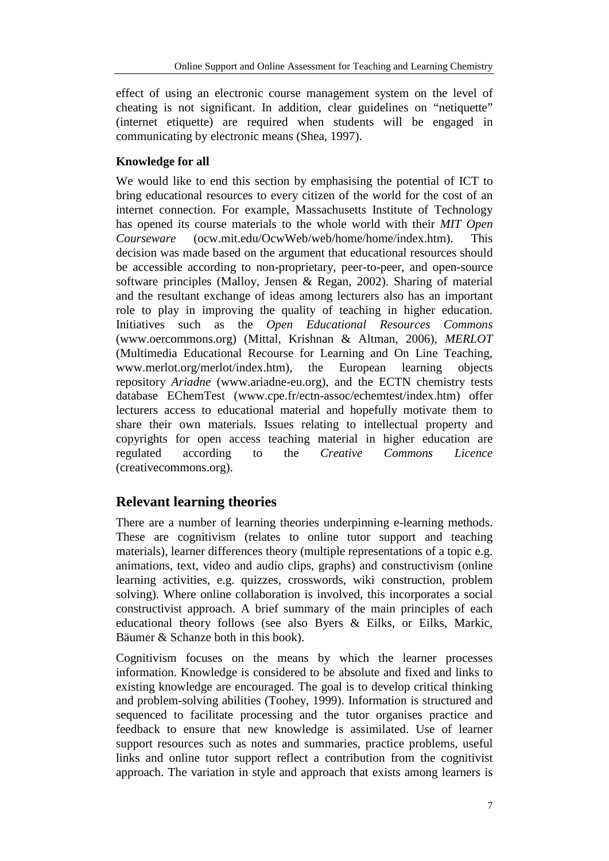effect of using an electronic course management system on the level of cheating is not significant. In addition, clear guidelines on "netiquette" (internet etiquette) are required when students will be engaged in communicating by electronic means (Shea, 1997).

# **Knowledge for all**

We would like to end this section by emphasising the potential of ICT to bring educational resources to every citizen of the world for the cost of an internet connection. For example, Massachusetts Institute of Technology has opened its course materials to the whole world with their *MIT Open Courseware* (ocw.mit.edu/OcwWeb/web/home/home/index.htm). This decision was made based on the argument that educational resources should be accessible according to non-proprietary, peer-to-peer, and open-source software principles (Malloy, Jensen & Regan, 2002). Sharing of material and the resultant exchange of ideas among lecturers also has an important role to play in improving the quality of teaching in higher education. Initiatives such as the *Open Educational Resources Commons* (www.oercommons.org) (Mittal, Krishnan & Altman, 2006), *MERLOT* (Multimedia Educational Recourse for Learning and On Line Teaching, www.merlot.org/merlot/index.htm), the European learning objects repository *Ariadne* (www.ariadne-eu.org), and the ECTN chemistry tests database EChemTest [\(www.cpe.fr/ectn-assoc/echemtest/index.htm\)](http://www.cpe.fr/ectn-assoc/echemtest/index.htm) offer lecturers access to educational material and hopefully motivate them to share their own materials. Issues relating to intellectual property and copyrights for open access teaching material in higher education are<br>regulated according to the *Creative Commons Licence* regulated according to the *Creative Commons Licence* (creativecommons.org).

# **Relevant learning theories**

There are a number of learning theories underpinning e-learning methods. These are cognitivism (relates to online tutor support and teaching materials), learner differences theory (multiple representations of a topic e.g. animations, text, video and audio clips, graphs) and constructivism (online learning activities, e.g. quizzes, crosswords, wiki construction, problem solving). Where online collaboration is involved, this incorporates a social constructivist approach. A brief summary of the main principles of each educational theory follows (see also Byers & Eilks, or Eilks, Markic, Bäumer & Schanze both in this book).

Cognitivism focuses on the means by which the learner processes information. Knowledge is considered to be absolute and fixed and links to existing knowledge are encouraged. The goal is to develop critical thinking and problem-solving abilities (Toohey, 1999). Information is structured and sequenced to facilitate processing and the tutor organises practice and feedback to ensure that new knowledge is assimilated. Use of learner support resources such as notes and summaries, practice problems, useful links and online tutor support reflect a contribution from the cognitivist approach. The variation in style and approach that exists among learners is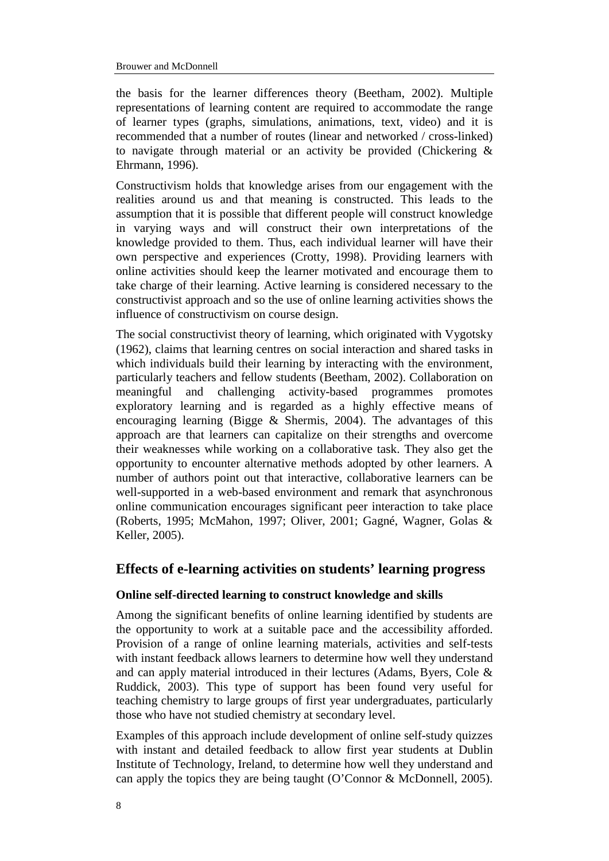the basis for the learner differences theory (Beetham, 2002). Multiple representations of learning content are required to accommodate the range of learner types (graphs, simulations, animations, text, video) and it is recommended that a number of routes (linear and networked / cross-linked) to navigate through material or an activity be provided (Chickering & Ehrmann, 1996).

Constructivism holds that knowledge arises from our engagement with the realities around us and that meaning is constructed. This leads to the assumption that it is possible that different people will construct knowledge in varying ways and will construct their own interpretations of the knowledge provided to them. Thus, each individual learner will have their own perspective and experiences (Crotty, 1998). Providing learners with online activities should keep the learner motivated and encourage them to take charge of their learning. Active learning is considered necessary to the constructivist approach and so the use of online learning activities shows the influence of constructivism on course design.

The social constructivist theory of learning, which originated with Vygotsky (1962), claims that learning centres on social interaction and shared tasks in which individuals build their learning by interacting with the environment, particularly teachers and fellow students (Beetham, 2002). Collaboration on meaningful and challenging activity-based programmes promotes exploratory learning and is regarded as a highly effective means of encouraging learning (Bigge  $\&$  Shermis, 2004). The advantages of this approach are that learners can capitalize on their strengths and overcome their weaknesses while working on a collaborative task. They also get the opportunity to encounter alternative methods adopted by other learners. A number of authors point out that interactive, collaborative learners can be well-supported in a web-based environment and remark that asynchronous online communication encourages significant peer interaction to take place (Roberts, 1995; McMahon, 1997; Oliver, 2001; Gagné, Wagner, Golas & Keller, 2005).

# **Effects of e-learning activities on students' learning progress**

# **Online self-directed learning to construct knowledge and skills**

Among the significant benefits of online learning identified by students are the opportunity to work at a suitable pace and the accessibility afforded. Provision of a range of online learning materials, activities and self-tests with instant feedback allows learners to determine how well they understand and can apply material introduced in their lectures (Adams, Byers, Cole & Ruddick, 2003). This type of support has been found very useful for teaching chemistry to large groups of first year undergraduates, particularly those who have not studied chemistry at secondary level.

Examples of this approach include development of online self-study quizzes with instant and detailed feedback to allow first year students at Dublin Institute of Technology, Ireland, to determine how well they understand and can apply the topics they are being taught (O'Connor & McDonnell, 2005).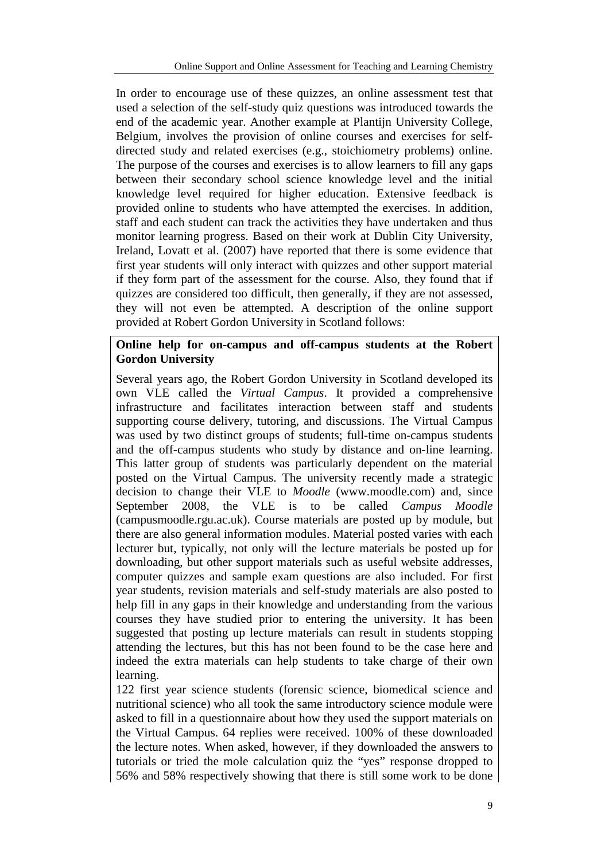In order to encourage use of these quizzes, an online assessment test that used a selection of the self-study quiz questions was introduced towards the end of the academic year. Another example at Plantijn University College, Belgium, involves the provision of online courses and exercises for selfdirected study and related exercises (e.g., stoichiometry problems) online. The purpose of the courses and exercises is to allow learners to fill any gaps between their secondary school science knowledge level and the initial knowledge level required for higher education. Extensive feedback is provided online to students who have attempted the exercises. In addition, staff and each student can track the activities they have undertaken and thus monitor learning progress. Based on their work at Dublin City University, Ireland, Lovatt et al. (2007) have reported that there is some evidence that first year students will only interact with quizzes and other support material if they form part of the assessment for the course. Also, they found that if quizzes are considered too difficult, then generally, if they are not assessed, they will not even be attempted. A description of the online support provided at Robert Gordon University in Scotland follows:

# **Online help for on-campus and off-campus students at the Robert Gordon University**

Several years ago, the Robert Gordon University in Scotland developed its own VLE called the *Virtual Campus*. It provided a comprehensive infrastructure and facilitates interaction between staff and students supporting course delivery, tutoring, and discussions. The Virtual Campus was used by two distinct groups of students; full-time on-campus students and the off-campus students who study by distance and on-line learning. This latter group of students was particularly dependent on the material posted on the Virtual Campus. The university recently made a strategic decision to change their VLE to *Moodle* (www.moodle.com) and, since September 2008, the VLE is to be called *Campus Moodle* (campusmoodle.rgu.ac.uk). Course materials are posted up by module, but there are also general information modules. Material posted varies with each lecturer but, typically, not only will the lecture materials be posted up for downloading, but other support materials such as useful website addresses, computer quizzes and sample exam questions are also included. For first year students, revision materials and self-study materials are also posted to help fill in any gaps in their knowledge and understanding from the various courses they have studied prior to entering the university. It has been suggested that posting up lecture materials can result in students stopping attending the lectures, but this has not been found to be the case here and indeed the extra materials can help students to take charge of their own learning.

122 first year science students (forensic science, biomedical science and nutritional science) who all took the same introductory science module were asked to fill in a questionnaire about how they used the support materials on the Virtual Campus. 64 replies were received. 100% of these downloaded the lecture notes. When asked, however, if they downloaded the answers to tutorials or tried the mole calculation quiz the "yes" response dropped to 56% and 58% respectively showing that there is still some work to be done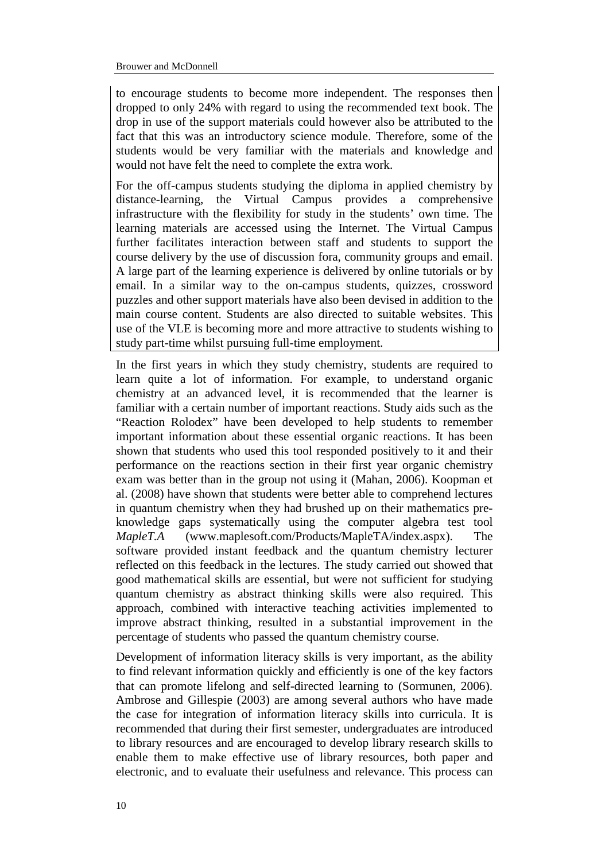to encourage students to become more independent. The responses then dropped to only 24% with regard to using the recommended text book. The drop in use of the support materials could however also be attributed to the fact that this was an introductory science module. Therefore, some of the students would be very familiar with the materials and knowledge and would not have felt the need to complete the extra work.

For the off-campus students studying the diploma in applied chemistry by distance-learning, the Virtual Campus provides a comprehensive infrastructure with the flexibility for study in the students' own time. The learning materials are accessed using the Internet. The Virtual Campus further facilitates interaction between staff and students to support the course delivery by the use of discussion fora, community groups and email. A large part of the learning experience is delivered by online tutorials or by email. In a similar way to the on-campus students, quizzes, crossword puzzles and other support materials have also been devised in addition to the main course content. Students are also directed to suitable websites. This use of the VLE is becoming more and more attractive to students wishing to study part-time whilst pursuing full-time employment.

In the first years in which they study chemistry, students are required to learn quite a lot of information. For example, to understand organic chemistry at an advanced level, it is recommended that the learner is familiar with a certain number of important reactions. Study aids such as the "Reaction Rolodex" have been developed to help students to remember important information about these essential organic reactions. It has been shown that students who used this tool responded positively to it and their performance on the reactions section in their first year organic chemistry exam was better than in the group not using it (Mahan, 2006). Koopman et al. (2008) have shown that students were better able to comprehend lectures in quantum chemistry when they had brushed up on their mathematics preknowledge gaps systematically using the computer algebra test tool *MapleT.A* (www.maplesoft.com/Products/MapleTA/index.aspx). The software provided instant feedback and the quantum chemistry lecturer reflected on this feedback in the lectures. The study carried out showed that good mathematical skills are essential, but were not sufficient for studying quantum chemistry as abstract thinking skills were also required. This approach, combined with interactive teaching activities implemented to improve abstract thinking, resulted in a substantial improvement in the percentage of students who passed the quantum chemistry course.

Development of information literacy skills is very important, as the ability to find relevant information quickly and efficiently is one of the key factors that can promote lifelong and self-directed learning to (Sormunen, 2006). Ambrose and Gillespie (2003) are among several authors who have made the case for integration of information literacy skills into curricula. It is recommended that during their first semester, undergraduates are introduced to library resources and are encouraged to develop library research skills to enable them to make effective use of library resources, both paper and electronic, and to evaluate their usefulness and relevance. This process can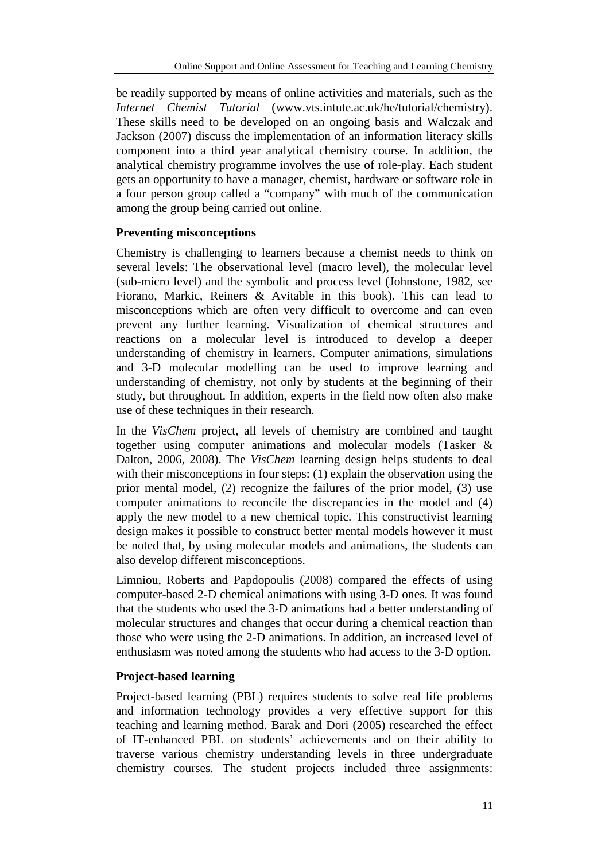be readily supported by means of online activities and materials, such as the *Internet Chemist Tutorial* (www.vts.intute.ac.uk/he/tutorial/chemistry). These skills need to be developed on an ongoing basis and Walczak and Jackson (2007) discuss the implementation of an information literacy skills component into a third year analytical chemistry course. In addition, the analytical chemistry programme involves the use of role-play. Each student gets an opportunity to have a manager, chemist, hardware or software role in a four person group called a "company" with much of the communication among the group being carried out online.

# **Preventing misconceptions**

Chemistry is challenging to learners because a chemist needs to think on several levels: The observational level (macro level), the molecular level (sub-micro level) and the symbolic and process level (Johnstone, 1982, see Fiorano, Markic, Reiners & Avitable in this book). This can lead to misconceptions which are often very difficult to overcome and can even prevent any further learning. Visualization of chemical structures and reactions on a molecular level is introduced to develop a deeper understanding of chemistry in learners. Computer animations, simulations and 3-D molecular modelling can be used to improve learning and understanding of chemistry, not only by students at the beginning of their study, but throughout. In addition, experts in the field now often also make use of these techniques in their research.

In the *VisChem* project, all levels of chemistry are combined and taught together using computer animations and molecular models (Tasker & Dalton, 2006, 2008). The *VisChem* learning design helps students to deal with their misconceptions in four steps: (1) explain the observation using the prior mental model, (2) recognize the failures of the prior model, (3) use computer animations to reconcile the discrepancies in the model and (4) apply the new model to a new chemical topic. This constructivist learning design makes it possible to construct better mental models however it must be noted that, by using molecular models and animations, the students can also develop different misconceptions.

Limniou, Roberts and Papdopoulis (2008) compared the effects of using computer-based 2-D chemical animations with using 3-D ones. It was found that the students who used the 3-D animations had a better understanding of molecular structures and changes that occur during a chemical reaction than those who were using the 2-D animations. In addition, an increased level of enthusiasm was noted among the students who had access to the 3-D option.

# **Project-based learning**

Project-based learning (PBL) requires students to solve real life problems and information technology provides a very effective support for this teaching and learning method. Barak and Dori (2005) researched the effect of IT-enhanced PBL on students' achievements and on their ability to traverse various chemistry understanding levels in three undergraduate chemistry courses. The student projects included three assignments: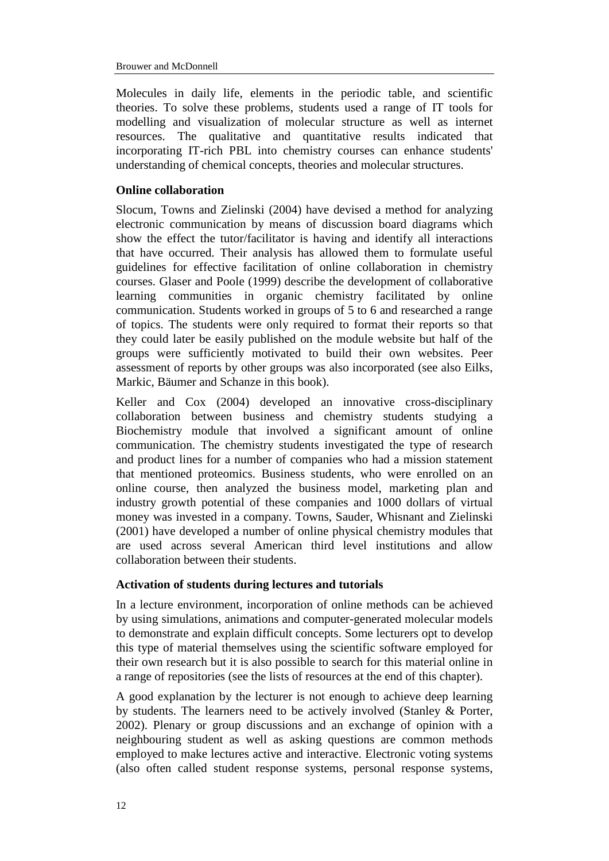Molecules in daily life, elements in the periodic table, and scientific theories. To solve these problems, students used a range of IT tools for modelling and visualization of molecular structure as well as internet resources. The qualitative and quantitative results indicated that incorporating IT-rich PBL into chemistry courses can enhance students' understanding of chemical concepts, theories and molecular structures.

### **Online collaboration**

Slocum, Towns and Zielinski (2004) have devised a method for analyzing electronic communication by means of discussion board diagrams which show the effect the tutor/facilitator is having and identify all interactions that have occurred. Their analysis has allowed them to formulate useful guidelines for effective facilitation of online collaboration in chemistry courses. Glaser and Poole (1999) describe the development of collaborative learning communities in organic chemistry facilitated by online communication. Students worked in groups of 5 to 6 and researched a range of topics. The students were only required to format their reports so that they could later be easily published on the module website but half of the groups were sufficiently motivated to build their own websites. Peer assessment of reports by other groups was also incorporated (see also Eilks, Markic, Bäumer and Schanze in this book).

Keller and Cox (2004) developed an innovative cross-disciplinary collaboration between business and chemistry students studying a Biochemistry module that involved a significant amount of online communication. The chemistry students investigated the type of research and product lines for a number of companies who had a mission statement that mentioned proteomics. Business students, who were enrolled on an online course, then analyzed the business model, marketing plan and industry growth potential of these companies and 1000 dollars of virtual money was invested in a company. Towns, Sauder, Whisnant and Zielinski (2001) have developed a number of online physical chemistry modules that are used across several American third level institutions and allow collaboration between their students.

#### **Activation of students during lectures and tutorials**

In a lecture environment, incorporation of online methods can be achieved by using simulations, animations and computer-generated molecular models to demonstrate and explain difficult concepts. Some lecturers opt to develop this type of material themselves using the scientific software employed for their own research but it is also possible to search for this material online in a range of repositories (see the lists of resources at the end of this chapter).

A good explanation by the lecturer is not enough to achieve deep learning by students. The learners need to be actively involved (Stanley & Porter, 2002). Plenary or group discussions and an exchange of opinion with a neighbouring student as well as asking questions are common methods employed to make lectures active and interactive. Electronic voting systems (also often called student response systems, personal response systems,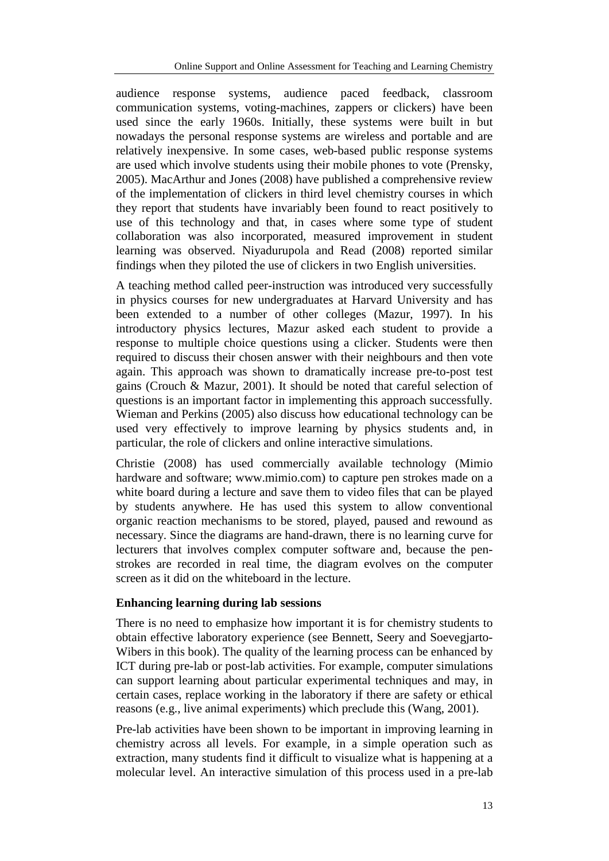audience response systems, audience paced feedback, classroom communication systems, voting-machines, zappers or clickers) have been used since the early 1960s. Initially, these systems were built in but nowadays the personal response systems are wireless and portable and are relatively inexpensive. In some cases, web-based public response systems are used which involve students using their mobile phones to vote (Prensky, 2005). MacArthur and Jones (2008) have published a comprehensive review of the implementation of clickers in third level chemistry courses in which they report that students have invariably been found to react positively to use of this technology and that, in cases where some type of student collaboration was also incorporated, measured improvement in student learning was observed. Niyadurupola and Read (2008) reported similar findings when they piloted the use of clickers in two English universities.

A teaching method called peer-instruction was introduced very successfully in physics courses for new undergraduates at Harvard University and has been extended to a number of other colleges (Mazur, 1997). In his introductory physics lectures, Mazur asked each student to provide a response to multiple choice questions using a clicker. Students were then required to discuss their chosen answer with their neighbours and then vote again. This approach was shown to dramatically increase pre-to-post test gains (Crouch & Mazur, 2001). It should be noted that careful selection of questions is an important factor in implementing this approach successfully. Wieman and Perkins (2005) also discuss how educational technology can be used very effectively to improve learning by physics students and, in particular, the role of clickers and online interactive simulations.

Christie (2008) has used commercially available technology (Mimio hardware and software; www.mimio.com) to capture pen strokes made on a white board during a lecture and save them to video files that can be played by students anywhere. He has used this system to allow conventional organic reaction mechanisms to be stored, played, paused and rewound as necessary. Since the diagrams are hand-drawn, there is no learning curve for lecturers that involves complex computer software and, because the penstrokes are recorded in real time, the diagram evolves on the computer screen as it did on the whiteboard in the lecture.

# **Enhancing learning during lab sessions**

There is no need to emphasize how important it is for chemistry students to obtain effective laboratory experience (see Bennett, Seery and Soevegjarto-Wibers in this book). The quality of the learning process can be enhanced by ICT during pre-lab or post-lab activities. For example, computer simulations can support learning about particular experimental techniques and may, in certain cases, replace working in the laboratory if there are safety or ethical reasons (e.g., live animal experiments) which preclude this (Wang, 2001).

Pre-lab activities have been shown to be important in improving learning in chemistry across all levels. For example, in a simple operation such as extraction, many students find it difficult to visualize what is happening at a molecular level. An interactive simulation of this process used in a pre-lab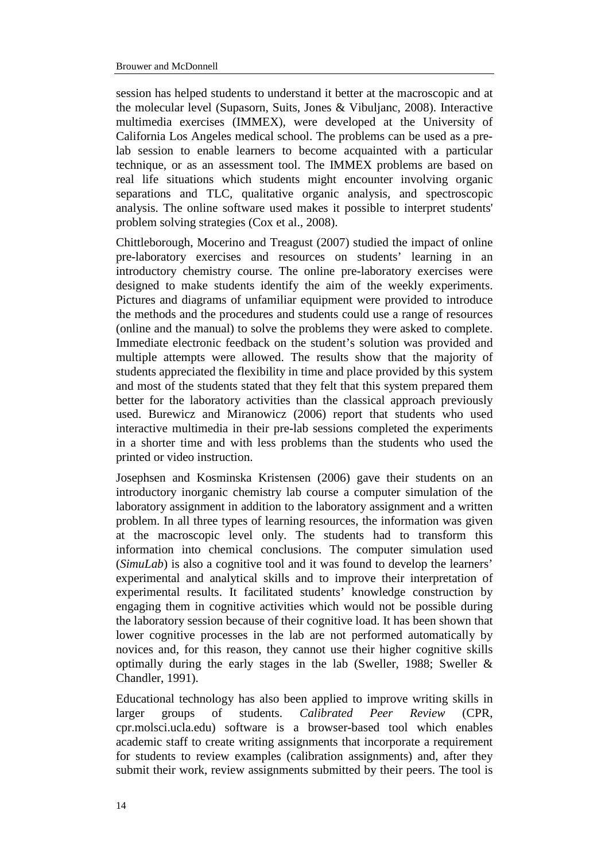session has helped students to understand it better at the macroscopic and at the molecular level (Supasorn, Suits, Jones & Vibuljanc, 2008). Interactive multimedia exercises (IMMEX), were developed at the University of California Los Angeles medical school. The problems can be used as a prelab session to enable learners to become acquainted with a particular technique, or as an assessment tool. The IMMEX problems are based on real life situations which students might encounter involving organic separations and TLC, qualitative organic analysis, and spectroscopic analysis. The online software used makes it possible to interpret students' problem solving strategies (Cox et al., 2008).

Chittleborough, Mocerino and Treagust (2007) studied the impact of online pre-laboratory exercises and resources on students' learning in an introductory chemistry course. The online pre-laboratory exercises were designed to make students identify the aim of the weekly experiments. Pictures and diagrams of unfamiliar equipment were provided to introduce the methods and the procedures and students could use a range of resources (online and the manual) to solve the problems they were asked to complete. Immediate electronic feedback on the student's solution was provided and multiple attempts were allowed. The results show that the majority of students appreciated the flexibility in time and place provided by this system and most of the students stated that they felt that this system prepared them better for the laboratory activities than the classical approach previously used. Burewicz and Miranowicz (2006) report that students who used interactive multimedia in their pre-lab sessions completed the experiments in a shorter time and with less problems than the students who used the printed or video instruction.

Josephsen and Kosminska Kristensen (2006) gave their students on an introductory inorganic chemistry lab course a computer simulation of the laboratory assignment in addition to the laboratory assignment and a written problem. In all three types of learning resources, the information was given at the macroscopic level only. The students had to transform this information into chemical conclusions. The computer simulation used (*SimuLab*) is also a cognitive tool and it was found to develop the learners' experimental and analytical skills and to improve their interpretation of experimental results. It facilitated students' knowledge construction by engaging them in cognitive activities which would not be possible during the laboratory session because of their cognitive load. It has been shown that lower cognitive processes in the lab are not performed automatically by novices and, for this reason, they cannot use their higher cognitive skills optimally during the early stages in the lab (Sweller, 1988; Sweller & Chandler, 1991).

Educational technology has also been applied to improve writing skills in larger groups of students. *Calibrated Peer Review* (CPR, cpr.molsci.ucla.edu) software is a browser-based tool which enables academic staff to create writing assignments that incorporate a requirement for students to review examples (calibration assignments) and, after they submit their work, review assignments submitted by their peers. The tool is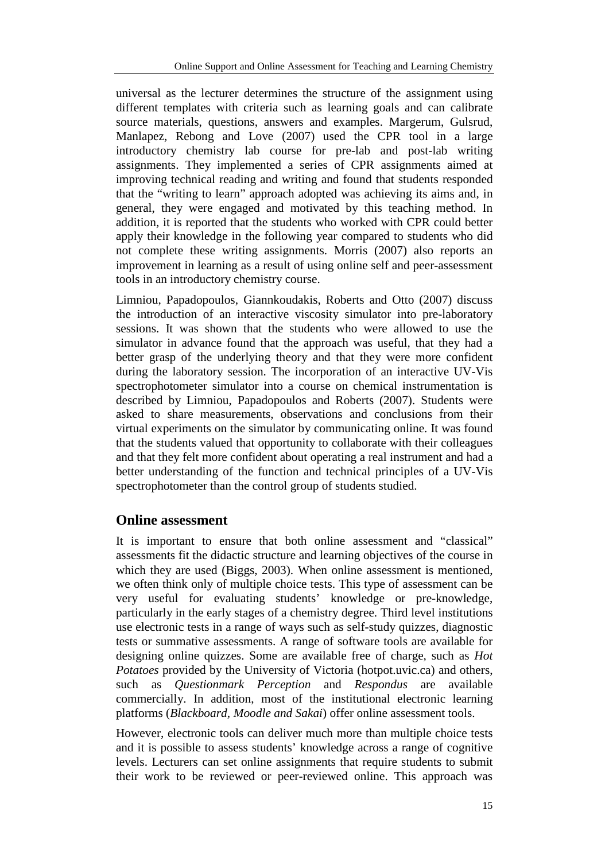universal as the lecturer determines the structure of the assignment using different templates with criteria such as learning goals and can calibrate source materials, questions, answers and examples. Margerum, Gulsrud, Manlapez, Rebong and Love (2007) used the CPR tool in a large introductory chemistry lab course for pre-lab and post-lab writing assignments. They implemented a series of CPR assignments aimed at improving technical reading and writing and found that students responded that the "writing to learn" approach adopted was achieving its aims and, in general, they were engaged and motivated by this teaching method. In addition, it is reported that the students who worked with CPR could better apply their knowledge in the following year compared to students who did not complete these writing assignments. Morris (2007) also reports an improvement in learning as a result of using online self and peer-assessment tools in an introductory chemistry course.

Limniou, Papadopoulos, Giannkoudakis, Roberts and Otto (2007) discuss the introduction of an interactive viscosity simulator into pre-laboratory sessions. It was shown that the students who were allowed to use the simulator in advance found that the approach was useful, that they had a better grasp of the underlying theory and that they were more confident during the laboratory session. The incorporation of an interactive UV-Vis spectrophotometer simulator into a course on chemical instrumentation is described by Limniou, Papadopoulos and Roberts (2007). Students were asked to share measurements, observations and conclusions from their virtual experiments on the simulator by communicating online. It was found that the students valued that opportunity to collaborate with their colleagues and that they felt more confident about operating a real instrument and had a better understanding of the function and technical principles of a UV-Vis spectrophotometer than the control group of students studied.

# **Online assessment**

It is important to ensure that both online assessment and "classical" assessments fit the didactic structure and learning objectives of the course in which they are used (Biggs, 2003). When online assessment is mentioned, we often think only of multiple choice tests. This type of assessment can be very useful for evaluating students' knowledge or pre-knowledge, particularly in the early stages of a chemistry degree. Third level institutions use electronic tests in a range of ways such as self-study quizzes, diagnostic tests or summative assessments. A range of software tools are available for designing online quizzes. Some are available free of charge, such as *Hot Potatoes* provided by the University of Victoria (hotpot.uvic.ca) and others, such as *Questionmark Perception* and *Respondus* are available commercially. In addition, most of the institutional electronic learning platforms (*Blackboard, Moodle and Sakai*) offer online assessment tools.

However, electronic tools can deliver much more than multiple choice tests and it is possible to assess students' knowledge across a range of cognitive levels. Lecturers can set online assignments that require students to submit their work to be reviewed or peer-reviewed online. This approach was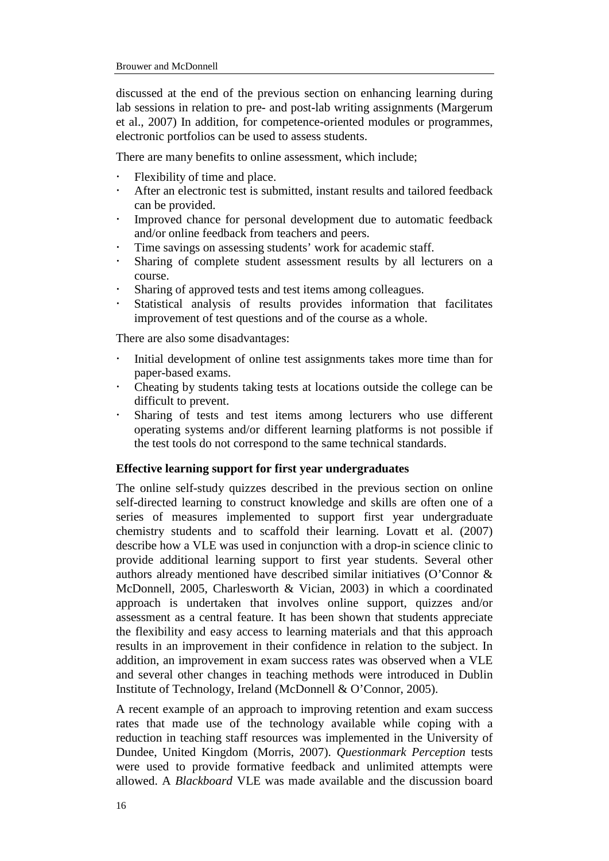discussed at the end of the previous section on enhancing learning during lab sessions in relation to pre- and post-lab writing assignments (Margerum et al., 2007) In addition, for competence-oriented modules or programmes, electronic portfolios can be used to assess students.

There are many benefits to online assessment, which include;

- Flexibility of time and place.
- After an electronic test is submitted, instant results and tailored feedback can be provided.
- Improved chance for personal development due to automatic feedback and/or online feedback from teachers and peers.
- Time savings on assessing students' work for academic staff.
- Sharing of complete student assessment results by all lecturers on a course.
- Sharing of approved tests and test items among colleagues.
- Statistical analysis of results provides information that facilitates improvement of test questions and of the course as a whole.

There are also some disadvantages:

- Initial development of online test assignments takes more time than for paper-based exams.
- Cheating by students taking tests at locations outside the college can be difficult to prevent.
- Sharing of tests and test items among lecturers who use different operating systems and/or different learning platforms is not possible if the test tools do not correspond to the same technical standards.

#### **Effective learning support for first year undergraduates**

The online self-study quizzes described in the previous section on online self-directed learning to construct knowledge and skills are often one of a series of measures implemented to support first year undergraduate chemistry students and to scaffold their learning. Lovatt et al. (2007) describe how a VLE was used in conjunction with a drop-in science clinic to provide additional learning support to first year students. Several other authors already mentioned have described similar initiatives (O'Connor & McDonnell, 2005, Charlesworth & Vician, 2003) in which a coordinated approach is undertaken that involves online support, quizzes and/or assessment as a central feature. It has been shown that students appreciate the flexibility and easy access to learning materials and that this approach results in an improvement in their confidence in relation to the subject. In addition, an improvement in exam success rates was observed when a VLE and several other changes in teaching methods were introduced in Dublin Institute of Technology, Ireland (McDonnell & O'Connor, 2005).

A recent example of an approach to improving retention and exam success rates that made use of the technology available while coping with a reduction in teaching staff resources was implemented in the University of Dundee, United Kingdom (Morris, 2007). *Questionmark Perception* tests were used to provide formative feedback and unlimited attempts were allowed. A *Blackboard* VLE was made available and the discussion board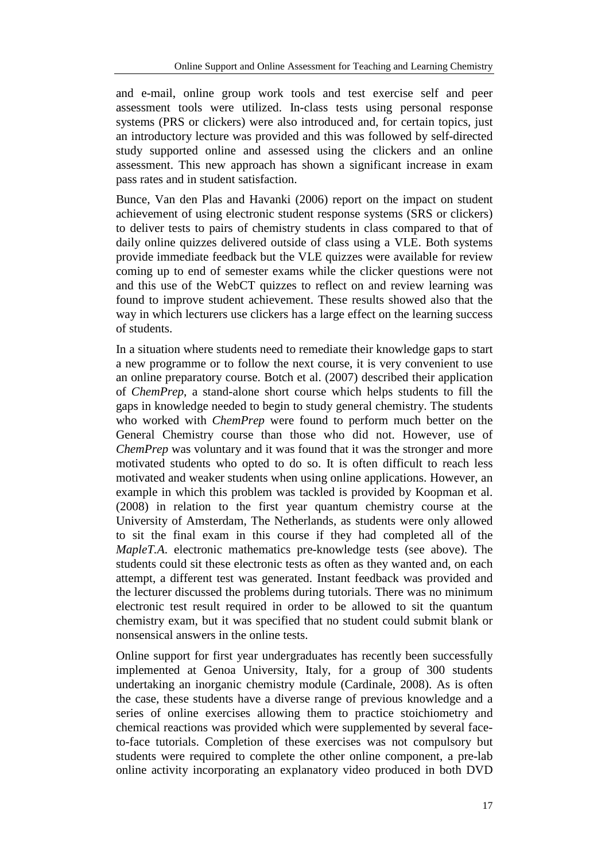and e-mail, online group work tools and test exercise self and peer assessment tools were utilized. In-class tests using personal response systems (PRS or clickers) were also introduced and, for certain topics, just an introductory lecture was provided and this was followed by self-directed study supported online and assessed using the clickers and an online assessment. This new approach has shown a significant increase in exam pass rates and in student satisfaction.

Bunce, Van den Plas and Havanki (2006) report on the impact on student achievement of using electronic student response systems (SRS or clickers) to deliver tests to pairs of chemistry students in class compared to that of daily online quizzes delivered outside of class using a VLE. Both systems provide immediate feedback but the VLE quizzes were available for review coming up to end of semester exams while the clicker questions were not and this use of the WebCT quizzes to reflect on and review learning was found to improve student achievement. These results showed also that the way in which lecturers use clickers has a large effect on the learning success of students.

In a situation where students need to remediate their knowledge gaps to start a new programme or to follow the next course, it is very convenient to use an online preparatory course. Botch et al. (2007) described their application of *ChemPrep*, a stand-alone short course which helps students to fill the gaps in knowledge needed to begin to study general chemistry. The students who worked with *ChemPrep* were found to perform much better on the General Chemistry course than those who did not. However, use of *ChemPrep* was voluntary and it was found that it was the stronger and more motivated students who opted to do so. It is often difficult to reach less motivated and weaker students when using online applications. However, an example in which this problem was tackled is provided by Koopman et al. (2008) in relation to the first year quantum chemistry course at the University of Amsterdam, The Netherlands, as students were only allowed to sit the final exam in this course if they had completed all of the *MapleT.A*. electronic mathematics pre-knowledge tests (see above). The students could sit these electronic tests as often as they wanted and, on each attempt, a different test was generated. Instant feedback was provided and the lecturer discussed the problems during tutorials. There was no minimum electronic test result required in order to be allowed to sit the quantum chemistry exam, but it was specified that no student could submit blank or nonsensical answers in the online tests.

Online support for first year undergraduates has recently been successfully implemented at Genoa University, Italy, for a group of 300 students undertaking an inorganic chemistry module (Cardinale, 2008). As is often the case, these students have a diverse range of previous knowledge and a series of online exercises allowing them to practice stoichiometry and chemical reactions was provided which were supplemented by several faceto-face tutorials. Completion of these exercises was not compulsory but students were required to complete the other online component, a pre-lab online activity incorporating an explanatory video produced in both DVD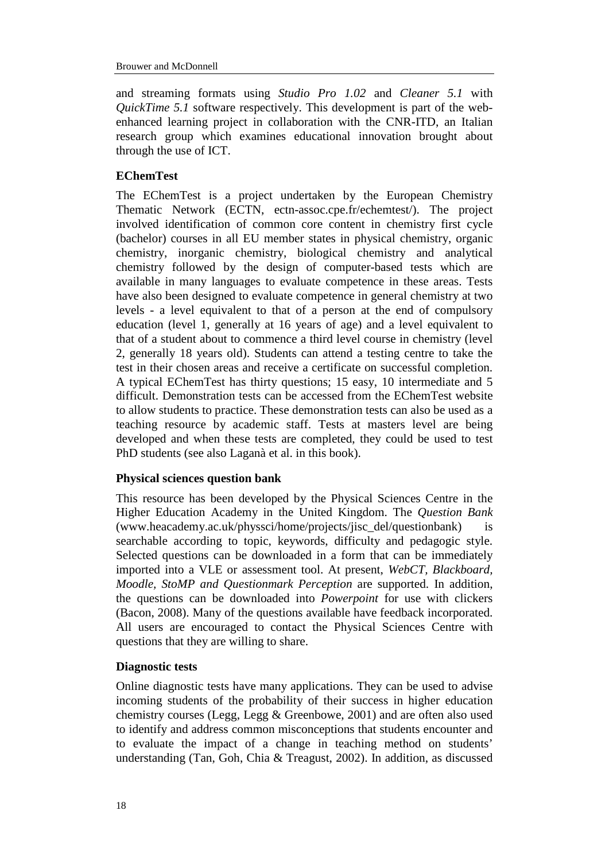and streaming formats using *Studio Pro 1.02* and *Cleaner 5.1* with *QuickTime 5.1* software respectively. This development is part of the webenhanced learning project in collaboration with the CNR-ITD, an Italian research group which examines educational innovation brought about through the use of ICT.

# **EChemTest**

The EChemTest is a project undertaken by the European Chemistry Thematic Network (ECTN, ectn-assoc.cpe.fr/echemtest/). The project involved identification of common core content in chemistry first cycle (bachelor) courses in all EU member states in physical chemistry, organic chemistry, inorganic chemistry, biological chemistry and analytical chemistry followed by the design of computer-based tests which are available in many languages to evaluate competence in these areas. Tests have also been designed to evaluate competence in general chemistry at two levels - a level equivalent to that of a person at the end of compulsory education (level 1, generally at 16 years of age) and a level equivalent to that of a student about to commence a third level course in chemistry (level 2, generally 18 years old). Students can attend a testing centre to take the test in their chosen areas and receive a certificate on successful completion. A typical EChemTest has thirty questions; 15 easy, 10 intermediate and 5 difficult. Demonstration tests can be accessed from the EChemTest website to allow students to practice. These demonstration tests can also be used as a teaching resource by academic staff. Tests at masters level are being developed and when these tests are completed, they could be used to test PhD students (see also Laganà et al. in this book).

# **Physical sciences question bank**

This resource has been developed by the Physical Sciences Centre in the Higher Education Academy in the United Kingdom. The *Question Bank* (www.heacademy.ac.uk/physsci/home/projects/jisc\_del/questionbank) is searchable according to topic, keywords, difficulty and pedagogic style. Selected questions can be downloaded in a form that can be immediately imported into a VLE or assessment tool. At present, *WebCT, Blackboard, Moodle, StoMP and Questionmark Perception* are supported. In addition, the questions can be downloaded into *Powerpoint* for use with clickers (Bacon, 2008). Many of the questions available have feedback incorporated. All users are encouraged to contact the Physical Sciences Centre with questions that they are willing to share.

# **Diagnostic tests**

Online diagnostic tests have many applications. They can be used to advise incoming students of the probability of their success in higher education chemistry courses (Legg, Legg & Greenbowe, 2001) and are often also used to identify and address common misconceptions that students encounter and to evaluate the impact of a change in teaching method on students' understanding (Tan, Goh, Chia & Treagust, 2002). In addition, as discussed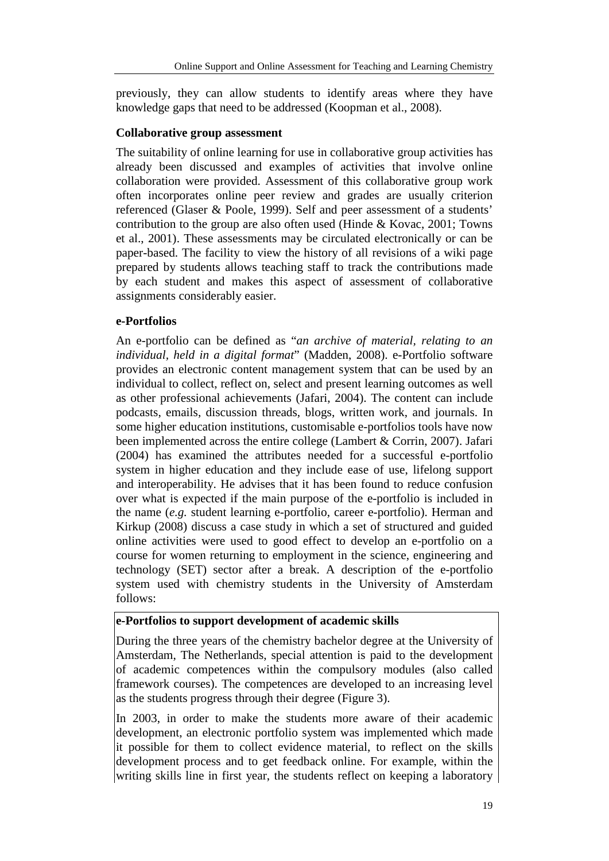previously, they can allow students to identify areas where they have knowledge gaps that need to be addressed (Koopman et al., 2008).

# **Collaborative group assessment**

The suitability of online learning for use in collaborative group activities has already been discussed and examples of activities that involve online collaboration were provided. Assessment of this collaborative group work often incorporates online peer review and grades are usually criterion referenced (Glaser & Poole, 1999). Self and peer assessment of a students' contribution to the group are also often used (Hinde & Kovac, 2001; Towns et al., 2001). These assessments may be circulated electronically or can be paper-based. The facility to view the history of all revisions of a wiki page prepared by students allows teaching staff to track the contributions made by each student and makes this aspect of assessment of collaborative assignments considerably easier.

# **e-Portfolios**

An e-portfolio can be defined as "*an archive of material, relating to an individual, held in a digital format*" (Madden, 2008). e-Portfolio software provides an electronic content management system that can be used by an individual to collect, reflect on, select and present learning outcomes as well as other professional achievements (Jafari, 2004). The content can include podcasts, emails, discussion threads, blogs, written work, and journals. In some higher education institutions, customisable e-portfolios tools have now been implemented across the entire college (Lambert & Corrin, 2007). Jafari (2004) has examined the attributes needed for a successful e-portfolio system in higher education and they include ease of use, lifelong support and interoperability. He advises that it has been found to reduce confusion over what is expected if the main purpose of the e-portfolio is included in the name (*e.g.* student learning e-portfolio, career e-portfolio). Herman and Kirkup (2008) discuss a case study in which a set of structured and guided online activities were used to good effect to develop an e-portfolio on a course for women returning to employment in the science, engineering and technology (SET) sector after a break. A description of the e-portfolio system used with chemistry students in the University of Amsterdam follows:

### **e-Portfolios to support development of academic skills**

During the three years of the chemistry bachelor degree at the University of Amsterdam, The Netherlands, special attention is paid to the development of academic competences within the compulsory modules (also called framework courses). The competences are developed to an increasing level as the students progress through their degree (Figure 3).

In 2003, in order to make the students more aware of their academic development, an electronic portfolio system was implemented which made it possible for them to collect evidence material, to reflect on the skills development process and to get feedback online. For example, within the writing skills line in first year, the students reflect on keeping a laboratory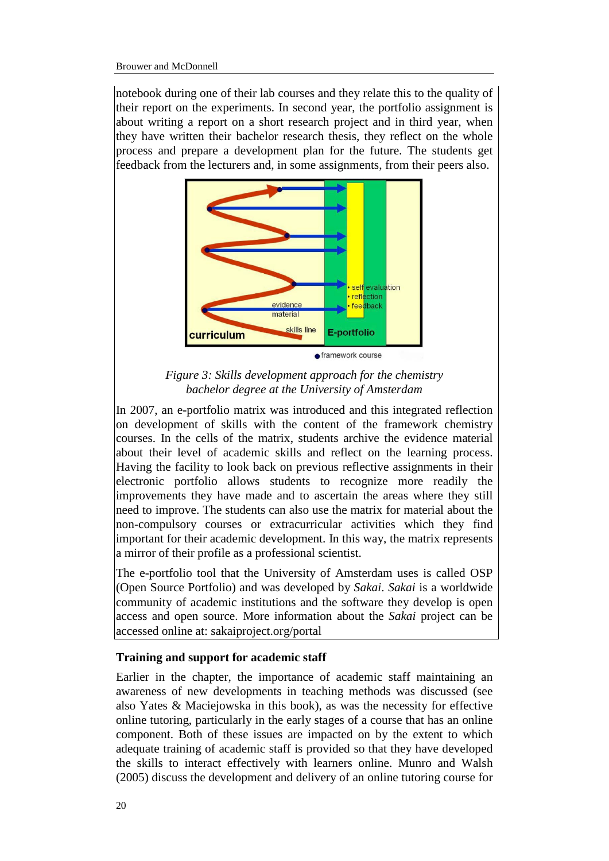notebook during one of their lab courses and they relate this to the quality of their report on the experiments. In second year, the portfolio assignment is about writing a report on a short research project and in third year, when they have written their bachelor research thesis, they reflect on the whole process and prepare a development plan for the future. The students get feedback from the lecturers and, in some assignments, from their peers also.



*Figure 3: Skills development approach for the chemistry bachelor degree at the University of Amsterdam*

In 2007, an e-portfolio matrix was introduced and this integrated reflection on development of skills with the content of the framework chemistry courses. In the cells of the matrix, students archive the evidence material about their level of academic skills and reflect on the learning process. Having the facility to look back on previous reflective assignments in their electronic portfolio allows students to recognize more readily the improvements they have made and to ascertain the areas where they still need to improve. The students can also use the matrix for material about the non-compulsory courses or extracurricular activities which they find important for their academic development. In this way, the matrix represents a mirror of their profile as a professional scientist.

The e-portfolio tool that the University of Amsterdam uses is called OSP (Open Source Portfolio) and was developed by *Sakai*. *Sakai* is a worldwide community of academic institutions and the software they develop is open access and open source. More information about the *Sakai* project can be accessed online at: [sakaiproject.org/portal](http://sakaiproject.org/portal)

# **Training and support for academic staff**

Earlier in the chapter, the importance of academic staff maintaining an awareness of new developments in teaching methods was discussed (see also Yates & Maciejowska in this book), as was the necessity for effective online tutoring, particularly in the early stages of a course that has an online component. Both of these issues are impacted on by the extent to which adequate training of academic staff is provided so that they have developed the skills to interact effectively with learners online. Munro and Walsh (2005) discuss the development and delivery of an online tutoring course for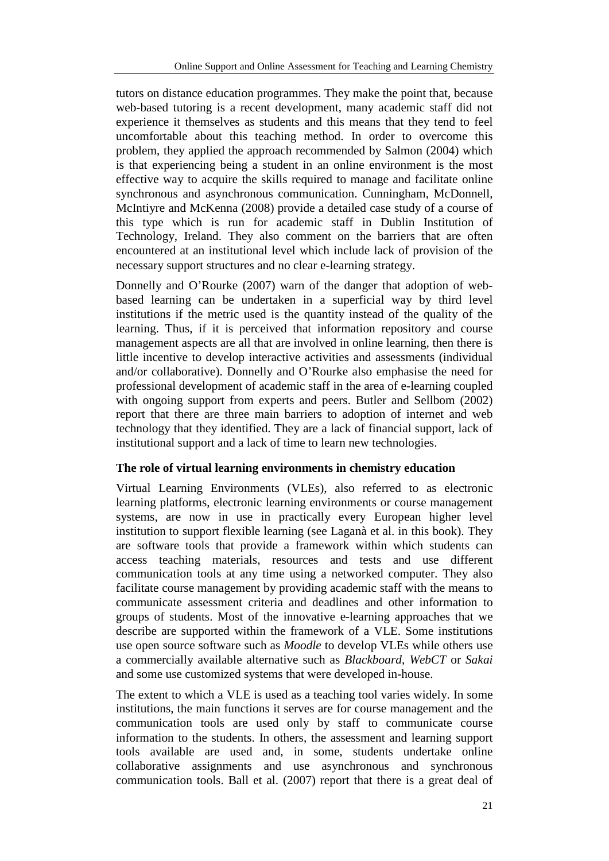tutors on distance education programmes. They make the point that, because web-based tutoring is a recent development, many academic staff did not experience it themselves as students and this means that they tend to feel uncomfortable about this teaching method. In order to overcome this problem, they applied the approach recommended by Salmon (2004) which is that experiencing being a student in an online environment is the most effective way to acquire the skills required to manage and facilitate online synchronous and asynchronous communication. Cunningham, McDonnell, McIntiyre and McKenna (2008) provide a detailed case study of a course of this type which is run for academic staff in Dublin Institution of Technology, Ireland. They also comment on the barriers that are often encountered at an institutional level which include lack of provision of the necessary support structures and no clear e-learning strategy.

Donnelly and O'Rourke (2007) warn of the danger that adoption of webbased learning can be undertaken in a superficial way by third level institutions if the metric used is the quantity instead of the quality of the learning. Thus, if it is perceived that information repository and course management aspects are all that are involved in online learning, then there is little incentive to develop interactive activities and assessments (individual and/or collaborative). Donnelly and O'Rourke also emphasise the need for professional development of academic staff in the area of e-learning coupled with ongoing support from experts and peers. Butler and Sellbom (2002) report that there are three main barriers to adoption of internet and web technology that they identified. They are a lack of financial support, lack of institutional support and a lack of time to learn new technologies.

# **The role of virtual learning environments in chemistry education**

Virtual Learning Environments (VLEs), also referred to as electronic learning platforms, electronic learning environments or course management systems, are now in use in practically every European higher level institution to support flexible learning (see Laganà et al. in this book). They are software tools that provide a framework within which students can access teaching materials, resources and tests and use different communication tools at any time using a networked computer. They also facilitate course management by providing academic staff with the means to communicate assessment criteria and deadlines and other information to groups of students. Most of the innovative e-learning approaches that we describe are supported within the framework of a VLE. Some institutions use open source software such as *Moodle* to develop VLEs while others use a commercially available alternative such as *Blackboard*, *WebCT* or *Sakai* and some use customized systems that were developed in-house.

The extent to which a VLE is used as a teaching tool varies widely. In some institutions, the main functions it serves are for course management and the communication tools are used only by staff to communicate course information to the students. In others, the assessment and learning support tools available are used and, in some, students undertake online collaborative assignments and use asynchronous and synchronous communication tools. Ball et al. (2007) report that there is a great deal of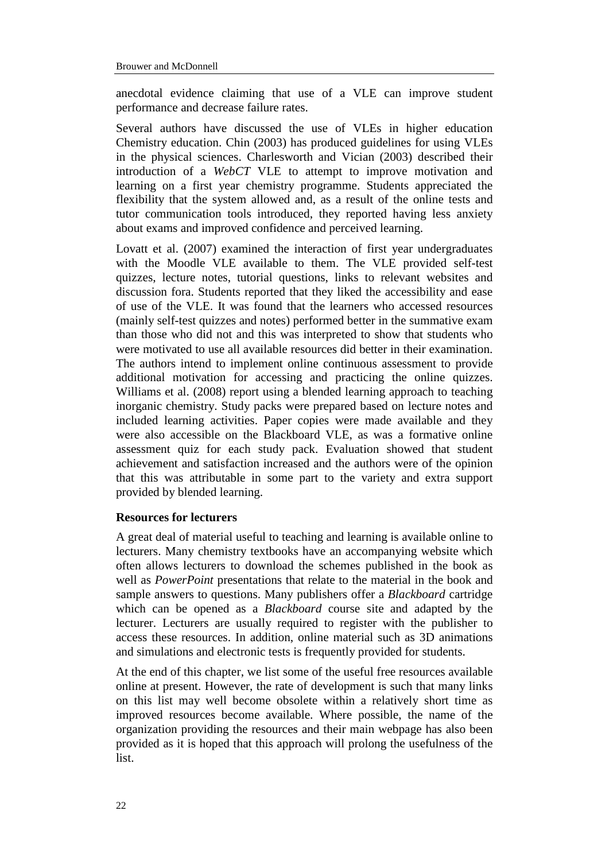anecdotal evidence claiming that use of a VLE can improve student performance and decrease failure rates.

Several authors have discussed the use of VLEs in higher education Chemistry education. Chin (2003) has produced guidelines for using VLEs in the physical sciences. Charlesworth and Vician (2003) described their introduction of a *WebCT* VLE to attempt to improve motivation and learning on a first year chemistry programme. Students appreciated the flexibility that the system allowed and, as a result of the online tests and tutor communication tools introduced, they reported having less anxiety about exams and improved confidence and perceived learning.

Lovatt et al. (2007) examined the interaction of first year undergraduates with the Moodle VLE available to them. The VLE provided self-test quizzes, lecture notes, tutorial questions, links to relevant websites and discussion fora. Students reported that they liked the accessibility and ease of use of the VLE. It was found that the learners who accessed resources (mainly self-test quizzes and notes) performed better in the summative exam than those who did not and this was interpreted to show that students who were motivated to use all available resources did better in their examination. The authors intend to implement online continuous assessment to provide additional motivation for accessing and practicing the online quizzes. Williams et al. (2008) report using a blended learning approach to teaching inorganic chemistry. Study packs were prepared based on lecture notes and included learning activities. Paper copies were made available and they were also accessible on the Blackboard VLE, as was a formative online assessment quiz for each study pack. Evaluation showed that student achievement and satisfaction increased and the authors were of the opinion that this was attributable in some part to the variety and extra support provided by blended learning.

# **Resources for lecturers**

A great deal of material useful to teaching and learning is available online to lecturers. Many chemistry textbooks have an accompanying website which often allows lecturers to download the schemes published in the book as well as *PowerPoint* presentations that relate to the material in the book and sample answers to questions. Many publishers offer a *Blackboard* cartridge which can be opened as a *Blackboard* course site and adapted by the lecturer. Lecturers are usually required to register with the publisher to access these resources. In addition, online material such as 3D animations and simulations and electronic tests is frequently provided for students.

At the end of this chapter, we list some of the useful free resources available online at present. However, the rate of development is such that many links on this list may well become obsolete within a relatively short time as improved resources become available. Where possible, the name of the organization providing the resources and their main webpage has also been provided as it is hoped that this approach will prolong the usefulness of the list.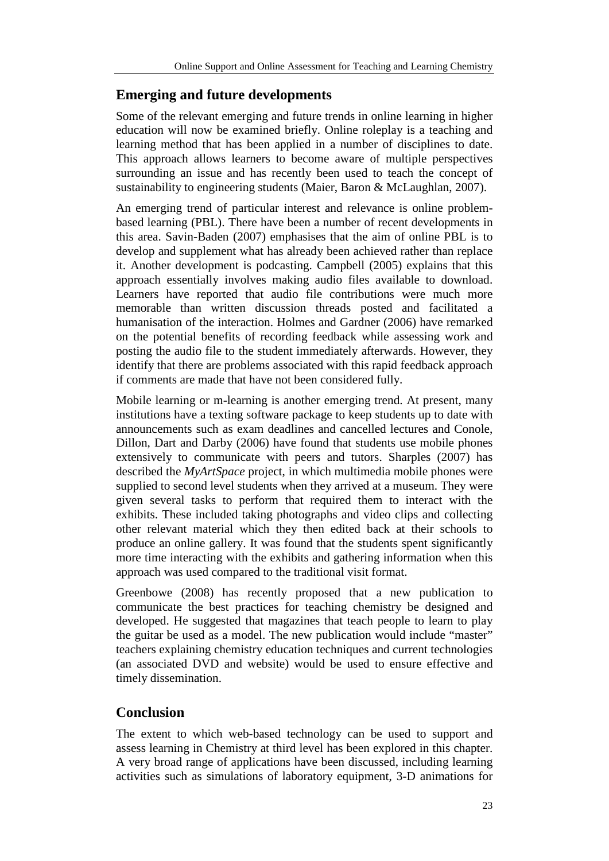# **Emerging and future developments**

Some of the relevant emerging and future trends in online learning in higher education will now be examined briefly. Online roleplay is a teaching and learning method that has been applied in a number of disciplines to date. This approach allows learners to become aware of multiple perspectives surrounding an issue and has recently been used to teach the concept of sustainability to engineering students (Maier, Baron & McLaughlan, 2007).

An emerging trend of particular interest and relevance is online problembased learning (PBL). There have been a number of recent developments in this area. Savin-Baden (2007) emphasises that the aim of online PBL is to develop and supplement what has already been achieved rather than replace it. Another development is podcasting. Campbell (2005) explains that this approach essentially involves making audio files available to download. Learners have reported that audio file contributions were much more memorable than written discussion threads posted and facilitated a humanisation of the interaction. Holmes and Gardner (2006) have remarked on the potential benefits of recording feedback while assessing work and posting the audio file to the student immediately afterwards. However, they identify that there are problems associated with this rapid feedback approach if comments are made that have not been considered fully.

Mobile learning or m-learning is another emerging trend. At present, many institutions have a texting software package to keep students up to date with announcements such as exam deadlines and cancelled lectures and Conole, Dillon, Dart and Darby (2006) have found that students use mobile phones extensively to communicate with peers and tutors. Sharples (2007) has described the *MyArtSpace* project, in which multimedia mobile phones were supplied to second level students when they arrived at a museum. They were given several tasks to perform that required them to interact with the exhibits. These included taking photographs and video clips and collecting other relevant material which they then edited back at their schools to produce an online gallery. It was found that the students spent significantly more time interacting with the exhibits and gathering information when this approach was used compared to the traditional visit format.

Greenbowe (2008) has recently proposed that a new publication to communicate the best practices for teaching chemistry be designed and developed. He suggested that magazines that teach people to learn to play the guitar be used as a model. The new publication would include "master" teachers explaining chemistry education techniques and current technologies (an associated DVD and website) would be used to ensure effective and timely dissemination.

# **Conclusion**

The extent to which web-based technology can be used to support and assess learning in Chemistry at third level has been explored in this chapter. A very broad range of applications have been discussed, including learning activities such as simulations of laboratory equipment, 3-D animations for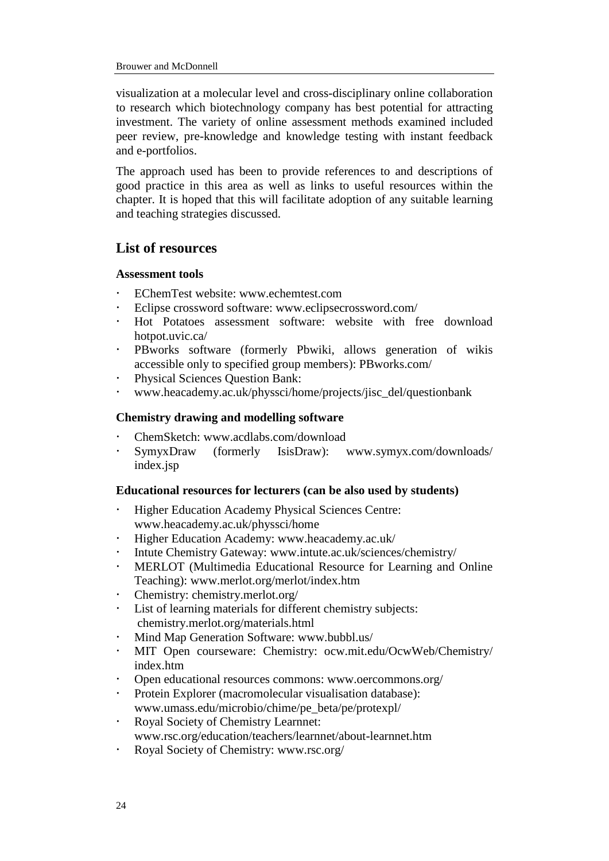visualization at a molecular level and cross-disciplinary online collaboration to research which biotechnology company has best potential for attracting investment. The variety of online assessment methods examined included peer review, pre-knowledge and knowledge testing with instant feedback and e-portfolios.

The approach used has been to provide references to and descriptions of good practice in this area as well as links to useful resources within the chapter. It is hoped that this will facilitate adoption of any suitable learning and teaching strategies discussed.

# **List of resources**

# **Assessment tools**

- EChemTest website: [www.echemtest.com](http://www.cpe.fr/ectn-assoc/echemtest/index.htm)
- Eclipse crossword software: [www.eclipsecrossword.com/](http://www.eclipsecrossword.com/)
- Hot Potatoes assessment software: website with free download [hotpot.uvic.ca/](http://hotpot.uvic.ca/)
- PBworks software (formerly Pbwiki, allows generation of wikis accessible only to specified group members): PBworks.com/
- Physical Sciences Question Bank:
- [www.heacademy.ac.uk/physsci/home/projects/jisc\\_del/questionbank](http://www.heacademy.ac.uk/physsci/home/projects/jisc_del/questionbank)

# **Chemistry drawing and modelling software**

- ChemSketch: [www.acdlabs.com/download](http://www.acdlabs.com/download/)
- SymyxDraw (formerly IsisDraw): www.symyx.com/downloads/ index.jsp

# **Educational resources for lecturers (can be also used by students)**

- Higher Education Academy Physical Sciences Centre: [www.heacademy.ac.uk/physsci/home](http://www.heacademy.ac.uk/physsci/home)
- Higher Education Academy: www.heacademy.ac.uk/
- Intute Chemistry Gateway: [www.intute.ac.uk/sciences/chemistry/](http://www.intute.ac.uk/sciences/chemistry/)
- MERLOT (Multimedia Educational Resource for Learning and Online Teaching): [www.merlot.org/merlot/index.htm](http://www.merlot.org/merlot/index.htm)
- Chemistry: [chemistry.merlot.org/](http://chemistry.merlot.org/)
- List of learning materials for different chemistry subjects: [chemistry.merlot.org/materials.html](http://chemistry.merlot.org/materials.html)
- Mind Map Generation Software: [www.bubbl.us/](http://www.bubbl.us/)
- MIT Open courseware: Chemistry: ocw.mit.edu/OcwWeb/Chemistry/ index.htm
- Open educational resources commons: [www.oercommons.org/](http://www.oercommons.org/)
- Protein Explorer (macromolecular visualisation database): [www.umass.edu/microbio/chime/pe\\_beta/pe/protexpl/](http://www.umass.edu/microbio/chime/pe_beta/pe/protexpl/)
- Royal Society of Chemistry Learnnet: [www.rsc.org/education/teachers/learnnet/about-learnnet.htm](http://www.rsc.org/education/teachers/learnnet/about-learnnet.htm)
- Royal Society of Chemistry: [www.rsc.org/](http://www.rsc.org/)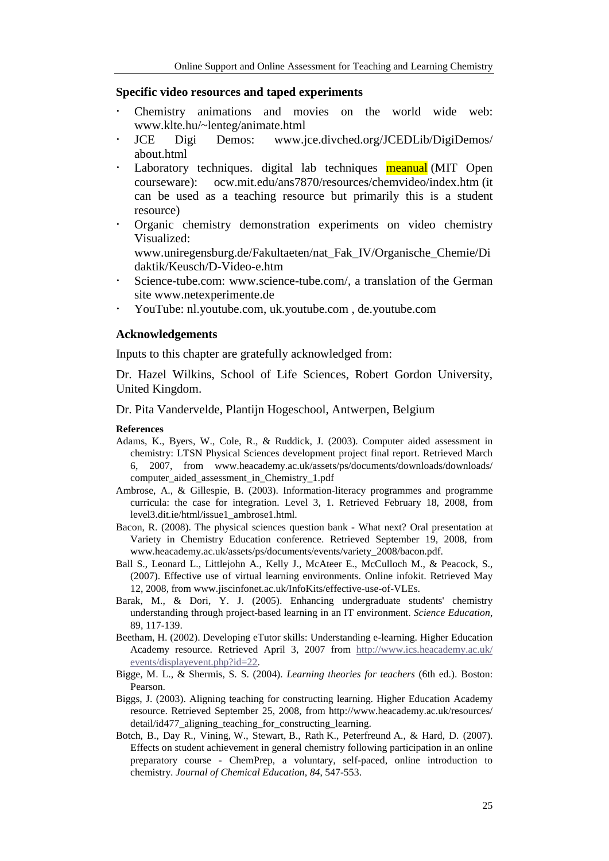#### **Specific video resources and taped experiments**

- Chemistry animations and movies on the world wide web: [www.klte.hu/~lenteg/animate.html](http://www.klte.hu/~lenteg/animate.html)
- JCE Digi Demos: www.jce.divched.org/JCEDLib/DigiDemos/ about.html
- Laboratory techniques. digital lab techniques meanual (MIT Open courseware): [ocw.mit.edu/ans7870/resources/chemvideo/index.htm](http://ocw.mit.edu/ans7870/resources/chemvideo/index.htm) (it can be used as a teaching resource but primarily this is a student resource)
- [Organic chemistry demonstration experiments on video chemistry](http://www.uni-regensburg.de/Fakultaeten/nat_Fak_IV/Organische_Chemie/Didaktik/Keusch/D-Video-e.htm)  [Visualized:](http://www.uni-regensburg.de/Fakultaeten/nat_Fak_IV/Organische_Chemie/Didaktik/Keusch/D-Video-e.htm)

[www.uniregensburg.de/Fakultaeten/nat\\_Fak\\_IV/Organische\\_Chemie/Di](http://www.uniregensburg.de/Fakultaeten/nat_Fak_IV/Organische_Chemie/Didaktik/Keusch/D-Video-e.htm) [daktik/Keusch/D-Video-e.htm](http://www.uniregensburg.de/Fakultaeten/nat_Fak_IV/Organische_Chemie/Didaktik/Keusch/D-Video-e.htm)

- Science-tube.com: [www.science-tube.com/,](http://www.science-tube.com/) a translation of the German site [www.netexperimente.de](http://www.netexperimente.de/)
- YouTube: [nl.youtube.com,](http://nl.youtube.com/) [uk.youtube.com](http://uk.youtube.com/) , [de.youtube.com](http://de.youtube.com/)

# **Acknowledgements**

Inputs to this chapter are gratefully acknowledged from:

Dr. Hazel Wilkins, School of Life Sciences, Robert Gordon University, United Kingdom.

Dr. Pita Vandervelde, Plantijn Hogeschool, Antwerpen, Belgium

#### **References**

- Adams, K., Byers, W., Cole, R., & Ruddick, J. (2003). Computer aided assessment in chemistry: LTSN Physical Sciences development project final report. Retrieved March 6, 2007, from www.heacademy.ac.uk/assets/ps/documents/downloads/downloads/ computer\_aided\_assessment\_in\_Chemistry\_1.pdf
- Ambrose, A., & Gillespie, B. (2003). Information-literacy programmes and programme curricula: the case for integration. Level 3, 1. Retrieved February 18, 2008, from level3.dit.ie/html/issue1\_ambrose1.html.
- Bacon, R. (2008). The physical sciences question bank What next? Oral presentation at Variety in Chemistry Education conference. Retrieved September 19, 2008, from www.heacademy.ac.uk/assets/ps/documents/events/variety\_2008/bacon.pdf.
- Ball S., Leonard L., Littlejohn A., Kelly J., McAteer E., McCulloch M., & Peacock, S., (2007). Effective use of virtual learning environments. Online infokit. Retrieved May 12, 2008, from www.jiscinfonet.ac.uk/InfoKits/effective-use-of-VLEs.
- Barak, M., & Dori, Y. J. (2005). Enhancing undergraduate students' chemistry understanding through project-based learning in an IT environment. *Science Education*, 89, 117-139.
- Beetham, H. (2002). Developing eTutor skills: Understanding e-learning. Higher Education Academy resource. Retrieved April 3, 2007 from [http://www.ics.heacademy.ac.uk/](http://www.ics.heacademy.ac.uk/%0bevents/displayevent.php?id=22) [events/displayevent.php?id=22.](http://www.ics.heacademy.ac.uk/%0bevents/displayevent.php?id=22)
- Bigge, M. L., & Shermis, S. S. (2004). *Learning theories for teachers* (6th ed.). Boston: Pearson.
- Biggs, J. (2003). Aligning teaching for constructing learning. Higher Education Academy resource. Retrieved September 25, 2008, from [http://www.heacademy.ac.uk/resources/](http://www.heacademy.ac.uk/resources/%20detail/id477_aligning_teaching_for_constructing_learning)  [detail/id477\\_aligning\\_teaching\\_for\\_constructing\\_learning.](http://www.heacademy.ac.uk/resources/%20detail/id477_aligning_teaching_for_constructing_learning)
- Botch, B., Day R., Vining, W., Stewart, B., Rath K., Peterfreund A., & Hard, D. (2007). Effects on student achievement in general chemistry following participation in an online preparatory course - ChemPrep, a voluntary, self-paced, online introduction to chemistry. *Journal of Chemical Education*, *84*, 547-553.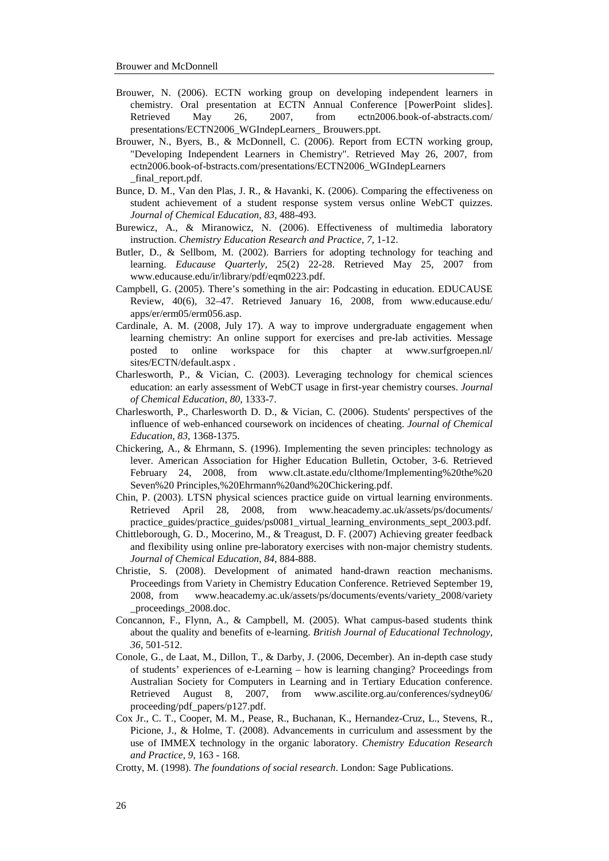- Brouwer, N. (2006). ECTN working group on developing independent learners in chemistry. Oral presentation at ECTN Annual Conference [PowerPoint slides]. Retrieved May 26, 2007, from ectn2006.book-of-abstracts.com/ presentations/ECTN2006\_WGIndepLearners\_ Brouwers.ppt.
- Brouwer, N., Byers, B., & McDonnell, C. (2006). Report from ECTN working group, "Developing Independent Learners in Chemistry". Retrieved May 26, 2007, from ectn2006.book-of-bstracts.com/presentations/ECTN2006\_WGIndepLearners \_final\_report.pdf.
- Bunce, D. M., Van den Plas, J. R., & Havanki, K. (2006). Comparing the effectiveness on student achievement of a student response system versus online WebCT quizzes. *Journal of Chemical Education*, *83*, 488-493.
- Burewicz, A., & Miranowicz, N. (2006). Effectiveness of multimedia laboratory instruction. *Chemistry Education Research and Practice*, *7*, 1-12.
- Butler, D., & Sellbom, M. (2002). Barriers for adopting technology for teaching and learning. *Educause Quarterly*, 25(2) 22-28. Retrieved May 25, 2007 from www.educause.edu/ir/library/pdf/eqm0223.pdf.
- Campbell, G. (2005). There's something in the air: Podcasting in education. EDUCAUSE Review, 40(6), 32–47. Retrieved January 16, 2008, from www.educause.edu/ apps/er/erm05/erm056.asp.
- Cardinale, A. M. (2008, July 17). A way to improve undergraduate engagement when learning chemistry: An online support for exercises and pre-lab activities. Message posted to online workspace for this chapter at www.surfgroepen.nl/ sites/ECTN/default.aspx .
- Charlesworth, P., & Vician, C. (2003). Leveraging technology for chemical sciences education: an early assessment of WebCT usage in first-year chemistry courses. *Journal of Chemical Education*, *80*, 1333-7.
- Charlesworth, P., Charlesworth D. D., & Vician, C. (2006). Students' perspectives of the influence of web-enhanced coursework on incidences of cheating. *Journal of Chemical Education*, *83*, 1368-1375.
- Chickering, A., & Ehrmann, S. (1996). Implementing the seven principles: technology as lever. American Association for Higher Education Bulletin, October, 3-6. Retrieved February 24, 2008, from [www.clt.astate.edu/clthome/Implementing%20the%20](http://www.clt.astate.edu/clthome/Implementing%20the%20Seven%20%20Principles,%20Ehrmann%20and%20Chickering.pdf) [Seven%20 Principles,%20Ehrmann%20and%20Chickering.pdf.](http://www.clt.astate.edu/clthome/Implementing%20the%20Seven%20%20Principles,%20Ehrmann%20and%20Chickering.pdf)
- Chin, P. (2003). LTSN physical sciences practice guide on virtual learning environments. Retrieved April 28, 2008, from www.heacademy.ac.uk/assets/ps/documents/ practice\_guides/practice\_guides/ps0081\_virtual\_learning\_environments\_sept\_2003.pdf.
- Chittleborough, G. D., Mocerino, M., & Treagust, D. F. (2007) Achieving greater feedback and flexibility using online pre-laboratory exercises with non-major chemistry students. *Journal of Chemical Education*, *84*, 884-888.
- Christie, S. (2008). Development of animated hand-drawn reaction mechanisms. Proceedings from Variety in Chemistry Education Conference. Retrieved September 19, 2008, from [www.heacademy.ac.uk/assets/ps/documents/events/variety\\_2008/variety](http://www.heacademy.ac.uk/assets/ps/documents/events/variety_2008/variety%20_proceedings_2008.doc)  [\\_proceedings\\_2008.doc.](http://www.heacademy.ac.uk/assets/ps/documents/events/variety_2008/variety%20_proceedings_2008.doc)
- Concannon, F., Flynn, A., & Campbell, M. (2005). What campus-based students think about the quality and benefits of e-learning. *British Journal of Educational Technology*, *36*, 501-512.
- Conole, G., de Laat, M., Dillon, T., & Darby, J. (2006, December). An in-depth case study of students' experiences of e-Learning – how is learning changing? Proceedings from Australian Society for Computers in Learning and in Tertiary Education conference. Retrieved August 8, 2007, from www.ascilite.org.au/conferences/sydney06/ proceeding/pdf\_papers/p127.pdf.
- Cox Jr., C. T., Cooper, M. M., Pease, R., Buchanan, K., Hernandez-Cruz, L., Stevens, R., Picione, J., & Holme, T. (2008). Advancements in curriculum and assessment by the use of IMMEX technology in the organic laboratory. *Chemistry Education Research and Practice*, *9*, 163 - 168.
- Crotty, M. (1998). *The foundations of social research*. London: Sage Publications.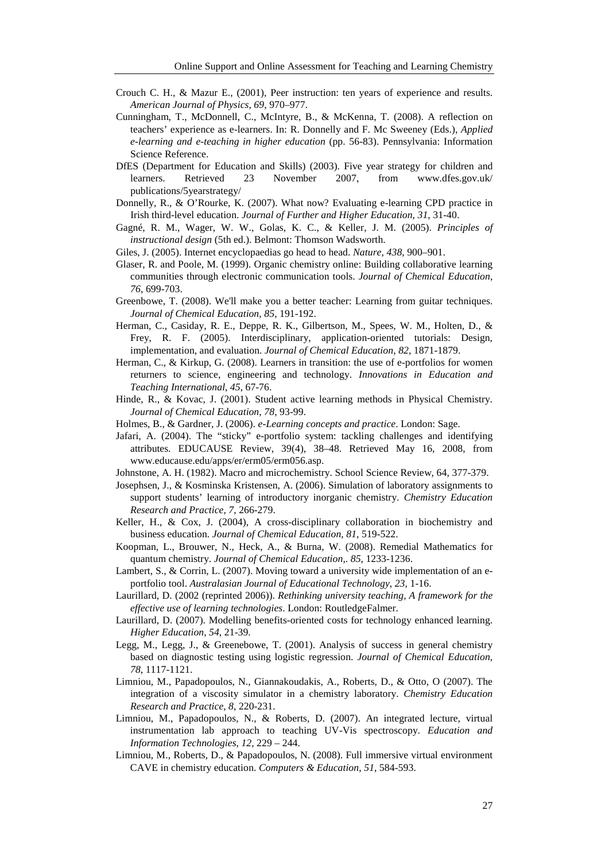- Crouch C. H., & Mazur E., (2001), Peer instruction: ten years of experience and results. *American Journal of Physics*, *69*, 970–977.
- Cunningham, T., McDonnell, C., McIntyre, B., & McKenna, T. (2008). A reflection on teachers' experience as e-learners. In: R. Donnelly and F. Mc Sweeney (Eds.), *Applied e-learning and e-teaching in higher education* (pp. 56-83). Pennsylvania: Information Science Reference.
- DfES (Department for Education and Skills) (2003). Five year strategy for children and learners. Retrieved 23 November 2007, from www.dfes.gov.uk/ publications/5yearstrategy/
- Donnelly, R., & O'Rourke, K. (2007). What now? Evaluating e-learning CPD practice in Irish third-level education. *Journal of Further and Higher Education*, *31*, 31-40.
- Gagné, R. M., Wager, W. W., Golas, K. C., & Keller, J. M. (2005). *Principles of instructional design* (5th ed.). Belmont: Thomson Wadsworth.
- Giles, J. (2005). Internet encyclopaedias go head to head. *Nature*, *438*, 900–901.
- Glaser, R. and Poole, M. (1999). Organic chemistry online: Building collaborative learning communities through electronic communication tools. *Journal of Chemical Education*, *76*, 699-703.
- Greenbowe, T. (2008). We'll make you a better teacher: Learning from guitar techniques. *Journal of Chemical Education*, *85*, 191-192.
- Herman, C., Casiday, R. E., Deppe, R. K., Gilbertson, M., Spees, W. M., Holten, D., & Frey, R. F. (2005). Interdisciplinary, application-oriented tutorials: Design, implementation, and evaluation. *Journal of Chemical Education*, *82*, 1871-1879.
- Herman, C., & Kirkup, G. (2008). Learners in transition: the use of e-portfolios for women returners to science, engineering and technology. *Innovations in Education and Teaching International*, *45*, 67-76.
- Hinde, R., & Kovac, J. (2001). Student active learning methods in Physical Chemistry. *Journal of Chemical Education*, *78*, 93-99.
- Holmes, B., & Gardner, J. (2006). *e-Learning concepts and practice*. London: Sage.
- Jafari, A. (2004). The "sticky" e-portfolio system: tackling challenges and identifying attributes. EDUCAUSE Review, 39(4), 38–48. Retrieved May 16, 2008, from www.educause.edu/apps/er/erm05/erm056.asp.
- Johnstone, A. H. (1982). Macro and microchemistry. School Science Review, 64, 377-379.
- Josephsen, J., & Kosminska Kristensen, A. (2006). Simulation of laboratory assignments to support students' learning of introductory inorganic chemistry. *Chemistry Education Research and Practice, 7*, 266-279.
- Keller, H., & Cox, J. (2004), A cross-disciplinary collaboration in biochemistry and business education. *Journal of Chemical Education*, *81*, 519-522.
- Koopman, L., Brouwer, N., Heck, A., & Burna, W. (2008). Remedial Mathematics for quantum chemistry. *Journal of Chemical Education*,. *85*, 1233-1236.
- Lambert, S., & Corrin, L. (2007). Moving toward a university wide implementation of an eportfolio tool. *Australasian Journal of Educational Technology*, *23*, 1-16.
- Laurillard, D. (2002 (reprinted 2006)). *Rethinking university teaching, A framework for the effective use of learning technologies*. London: RoutledgeFalmer.
- Laurillard, D. (2007). Modelling benefits-oriented costs for technology enhanced learning. *Higher Education*, *54*, 21-39.
- Legg, M., Legg, J., & Greenebowe, T. (2001). Analysis of success in general chemistry based on diagnostic testing using logistic regression. *Journal of Chemical Education*, *78*, 1117-1121.
- Limniou, M., Papadopoulos, N., Giannakoudakis, A., Roberts, D., & Otto, O (2007). The integration of a viscosity simulator in a chemistry laboratory. *Chemistry Education Research and Practice*, *8*, 220-231.
- Limniou, M., Papadopoulos, N., & Roberts, D. (2007). An integrated lecture, virtual instrumentation lab approach to teaching UV-Vis spectroscopy. *Education and Information Technologies*, *12*, 229 – 244.
- Limniou, M., Roberts, D., & Papadopoulos, N. (2008). Full immersive virtual environment CAVE in chemistry education. *Computers & Education*, *[51](http://www.sciencedirect.com/science?_ob=PublicationURL&_tockey=%23TOC%235956%232008%23999489997%23690196%23FLA%23&_cdi=5956&_pubType=J&view=c&_auth=y&_acct=C000050221&_version=1&_urlVersion=0&_userid=10&md5=65ccde7bda41b095409c981de7abe55c)*, 584-593.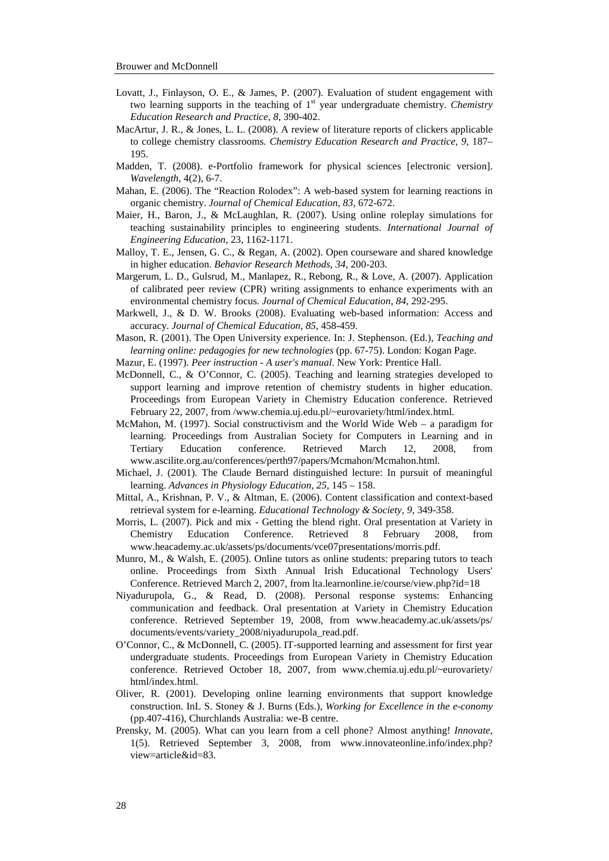- Lovatt, J., Finlayson, O. E., & James, P. (2007). Evaluation of student engagement with two learning supports in the teaching of 1<sup>st</sup> year undergraduate chemistry. *Chemistry Education Research and Practice*, *8*, 390-402.
- MacArtur, J. R., & Jones, L. L. (2008). A review of literature reports of clickers applicable to college chemistry classrooms. *Chemistry Education Research and Practice*, *9*, 187– 195.
- Madden, T. (2008). e-Portfolio framework for physical sciences [electronic version]. *Wavelength*, 4(2), 6-7.
- Mahan, E. (2006). The "Reaction Rolodex": A web-based system for learning reactions in organic chemistry. *Journal of Chemical Education*, *83*, 672-672.
- Maier, H., Baron, J., & McLaughlan, R. (2007). Using online roleplay simulations for teaching sustainability principles to engineering students. *International Journal of Engineering Education*, 23, 1162-1171.
- Malloy, T. E., Jensen, G. C., & Regan, A. (2002). Open courseware and shared knowledge in higher education. *Behavior Research Methods*, *34*, 200-203.
- Margerum, L. D., Gulsrud, M., [Manlapez, R.,](http://www.eric.ed.gov/ERICWebPortal/Home.portal?_nfpb=true&_pageLabel=ERICSearchResult&_urlType=action&newSearch=true&ERICExtSearch_SearchType_0=au&ERICExtSearch_SearchValue_0=%22Manlapez+Ronald%22) [Rebong, R.,](http://www.eric.ed.gov/ERICWebPortal/Home.portal?_nfpb=true&_pageLabel=ERICSearchResult&_urlType=action&newSearch=true&ERICExtSearch_SearchType_0=au&ERICExtSearch_SearchValue_0=%22Rebong+Rachelle%22) & [Love, A.](http://www.eric.ed.gov/ERICWebPortal/Home.portal?_nfpb=true&_pageLabel=ERICSearchResult&_urlType=action&newSearch=true&ERICExtSearch_SearchType_0=au&ERICExtSearch_SearchValue_0=%22Love+Austin%22) (2007). Application of calibrated peer review (CPR) writing assignments to enhance experiments with an environmental chemistry focus. *Journal of Chemical Education*, *84*, 292-295.
- Markwell, J., & D. W. Brooks (2008). Evaluating web-based information: Access and accuracy. *Journal of Chemical Education*, *85*, 458-459.
- Mason, R. (2001). The Open University experience. In: J. Stephenson. (Ed.), *Teaching and learning online: pedagogies for new technologies* (pp. 67-75). London: Kogan Page.
- Mazur, E. (1997). *Peer instruction - A user's manual*. New York: Prentice Hall.
- McDonnell, C., & O'Connor, C. (2005). Teaching and learning strategies developed to support learning and improve retention of chemistry students in higher education. Proceedings from European Variety in Chemistry Education conference. Retrieved February 22, 2007, from [/www.chemia.uj.edu.pl/~eurovariety/html/index.html.](http://www.chemia.uj.edu.pl/~eurovariety/html/index.html)
- McMahon, M. (1997). Social constructivism and the World Wide Web a paradigm for learning. Proceedings from Australian Society for Computers in Learning and in Tertiary Education conference. Retrieved March 12, 2008, from www.ascilite.org.au/conferences/perth97/papers/Mcmahon/Mcmahon.html.
- Michael, J. (2001). The Claude Bernard distinguished lecture: In pursuit of meaningful learning. *Advances in Physiology Education, 25*, 145 – 158.
- Mittal, A., Krishnan, P. V., & Altman, E. (2006). Content classification and context-based retrieval system for e-learning. *Educational Technology & Society, 9*, 349-358.
- Morris, L. (2007). Pick and mix Getting the blend right. Oral presentation at Variety in Chemistry Education Conference. Retrieved 8 February 2008, from [www.heacademy.ac.uk/assets/ps/documents/vce07presentations/morris.pdf.](http://www.heacademy.ac.uk/assets/ps/documents/vce07presentations/morris.pdf)
- Munro, M., & Walsh, E. (2005). Online tutors as online students: preparing tutors to teach online. Proceedings from Sixth Annual Irish Educational Technology Users' Conference. Retrieved March 2, 2007, from [lta.learnonline.ie/course/view.php?id=18](http://ilta.learnonline.ie/course/view.php?id=18)
- Niyadurupola, G., & Read, D. (2008). Personal response systems: Enhancing communication and feedback. Oral presentation at Variety in Chemistry Education conference. Retrieved September 19, 2008, from [www.heacademy.ac.uk/assets/ps/](http://www.heacademy.ac.uk/assets/ps/%20documents/events/variety_2008/niyadurupola_read.pdf)  [documents/events/variety\\_2008/niyadurupola\\_read.pdf.](http://www.heacademy.ac.uk/assets/ps/%20documents/events/variety_2008/niyadurupola_read.pdf)
- O'Connor, C., & McDonnell, C. (2005). IT-supported learning and assessment for first year undergraduate students. Proceedings from European Variety in Chemistry Education conference. Retrieved October 18, 2007, from [www.chemia.uj.edu.pl/~eurovariety/](http://www.chemia.uj.edu.pl/~eurovariety/%20html/index.html)  [html/index.html.](http://www.chemia.uj.edu.pl/~eurovariety/%20html/index.html)
- Oliver, R. (2001). Developing online learning environments that support knowledge construction. InL S. Stoney & J. Burns (Eds.), *Working for Excellence in the e-conomy* (pp.407-416), Churchlands Australia: we-B centre.
- Prensky, M. (2005). What can you learn from a cell phone? Almost anything! *Innovate,* 1(5). Retrieved September 3, 2008, from [www.innovateonline.info/index.php?](http://www.innovateonline.info/index.php?%20view=article&id=83)  [view=article&id=83.](http://www.innovateonline.info/index.php?%20view=article&id=83)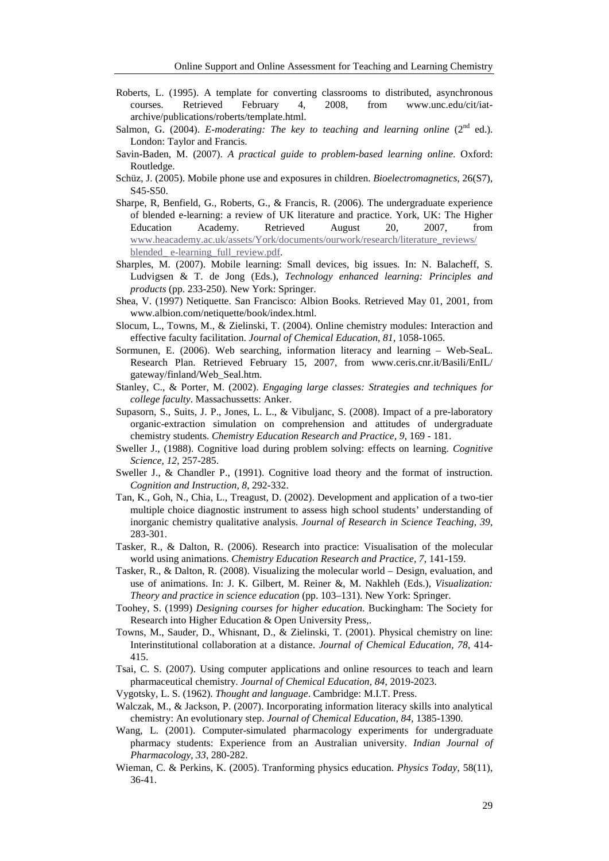- Roberts, L. (1995). A template for converting classrooms to distributed, asynchronous courses. Retrieved February 4, 2008, from www.unc.edu/cit/iatarchive/publications/roberts/template.html.
- Salmon, G. (2004). *E-moderating: The key to teaching and learning online* (2<sup>nd</sup> ed.). London: Taylor and Francis.
- Savin-Baden, M. (2007). *A practical guide to problem-based learning online*. Oxford: Routledge.
- Schüz, J. (2005). Mobile phone use and exposures in children. *Bioelectromagnetics*, 26(S7), S45-S50.
- Sharpe, R, Benfield, G., Roberts, G., & Francis, R. (2006). The undergraduate experience of blended e-learning: a review of UK literature and practice. York, UK: The Higher Education Academy. Retrieved August 20, 2007, from [www.heacademy.ac.uk/assets/York/documents/ourwork/research/literature\\_reviews/](http://www.heacademy.ac.uk/assets/York/documents/ourwork/research/literature_reviews/%20blended_%20e-learning_full_review.pdf) blended\_ [e-learning\\_full\\_review.pdf.](http://www.heacademy.ac.uk/assets/York/documents/ourwork/research/literature_reviews/%20blended_%20e-learning_full_review.pdf)
- Sharples, M. (2007). Mobile learning: Small devices, big issues. In: N. Balacheff, S. [Ludvigsen &](http://www.infibeam.com/Books/search?author=Sten%20Ludvigsen) T. [de Jong \(Eds.\),](http://www.infibeam.com/Books/search?author=Ton%20de%20Jong) *Technology enhanced learning: Principles and products* (pp. 233-250). New York: Springer.
- Shea, V. (1997) Netiquette. San Francisco: Albion Books. Retrieved May 01, 2001, from [www.albion.com/netiquette/book/index.html.](http://www.albion.com/netiquette/book/index.html)
- Slocum, L., Towns, M., & Zielinski, T. (2004). Online chemistry modules: Interaction and effective faculty facilitation. *Journal of Chemical Education, 81*, 1058-1065.
- Sormunen, E. (2006). Web searching, information literacy and learning Web-SeaL. Research Plan. Retrieved February 15, 2007, from [www.ceris.cnr.it/Basili/EnIL/](http://www.ceris.cnr.it/Basili/EnIL/%20gateway/finland/Web_Seal.htm)  [gateway/finland/Web\\_Seal.htm.](http://www.ceris.cnr.it/Basili/EnIL/%20gateway/finland/Web_Seal.htm)
- Stanley, C., & Porter, M. (2002). *Engaging large classes: Strategies and techniques for college faculty*. Massachussetts: Anker.
- Supasorn, S., Suits, J. P., Jones, L. L., & Vibuljanc, S. (2008). Impact of a pre-laboratory organic-extraction simulation on comprehension and attitudes of undergraduate chemistry students. *Chemistry Education Research and Practice, 9*, 169 - 181.
- Sweller J., (1988). Cognitive load during problem solving: effects on learning. *Cognitive Science, 12*, 257-285.
- Sweller J., & Chandler P., (1991). Cognitive load theory and the format of instruction. *Cognition and Instruction, 8*, 292-332.
- Tan, K., Goh, N., Chia, L., Treagust, D. (2002). Development and application of a two-tier multiple choice diagnostic instrument to assess high school students' understanding of inorganic chemistry qualitative analysis. *Journal of Research in Science Teaching, 39*, 283-301.
- Tasker, R., & Dalton, R. (2006). Research into practice: Visualisation of the molecular world using animations. *Chemistry Education Research and Practice, 7*, 141-159.
- Tasker, R., & Dalton, R. (2008). Visualizing the molecular world Design, evaluation, and use of animations. In: J. K. Gilbert, M. Reiner &, M. Nakhleh (Eds.), *Visualization: Theory and practice in science education* (pp. 103–131). New York: Springer.
- Toohey, S. (1999) *Designing courses for higher education*. Buckingham: The Society for Research into Higher Education & Open University Press,.
- Towns, M., Sauder, D., Whisnant, D., & Zielinski, T. (2001). Physical chemistry on line: Interinstitutional collaboration at a distance. *Journal of Chemical Education, 78*, 414- 415.
- Tsai, C. S. (2007). Using computer applications and online resources to teach and learn pharmaceutical chemistry. *Journal of Chemical Education, 84*, 2019-2023.
- Vygotsky, L. S. (1962). *Thought and language*. Cambridge: M.I.T. Press.
- Walczak, M., & Jackson, P. (2007). Incorporating information literacy skills into analytical chemistry: An evolutionary step. *Journal of Chemical Education, 84*, 1385-1390.
- Wang, L. (2001). Computer-simulated pharmacology experiments for undergraduate pharmacy students: Experience from an Australian university. *Indian Journal of Pharmacology, 33*, 280-282.
- Wieman, C. & Perkins, K. (2005). Tranforming physics education. *Physics Today*, 58(11), 36-41.